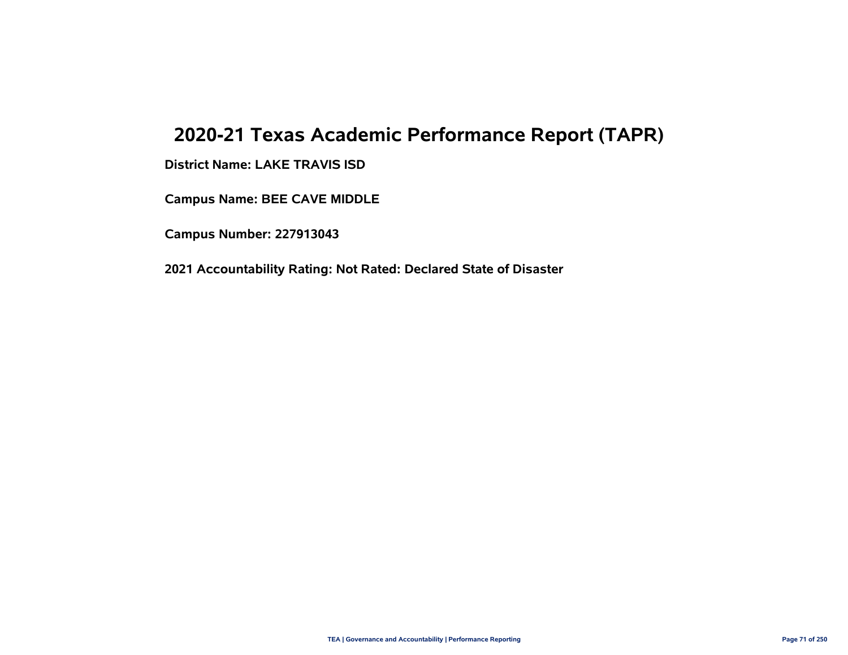# **2020-21 Texas Academic Performance Report (TAPR)**

**District Name: LAKE TRAVIS ISD**

**Campus Name: BEE CAVE MIDDLE**

**Campus Number: 227913043**

**2021 Accountability Rating: Not Rated: Declared State of Disaster**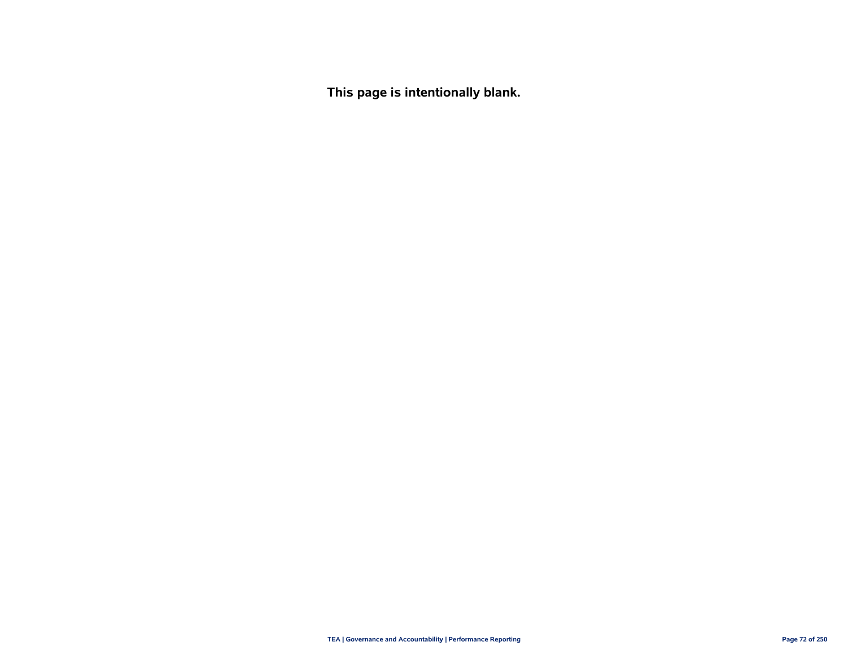**This page is intentionally blank.**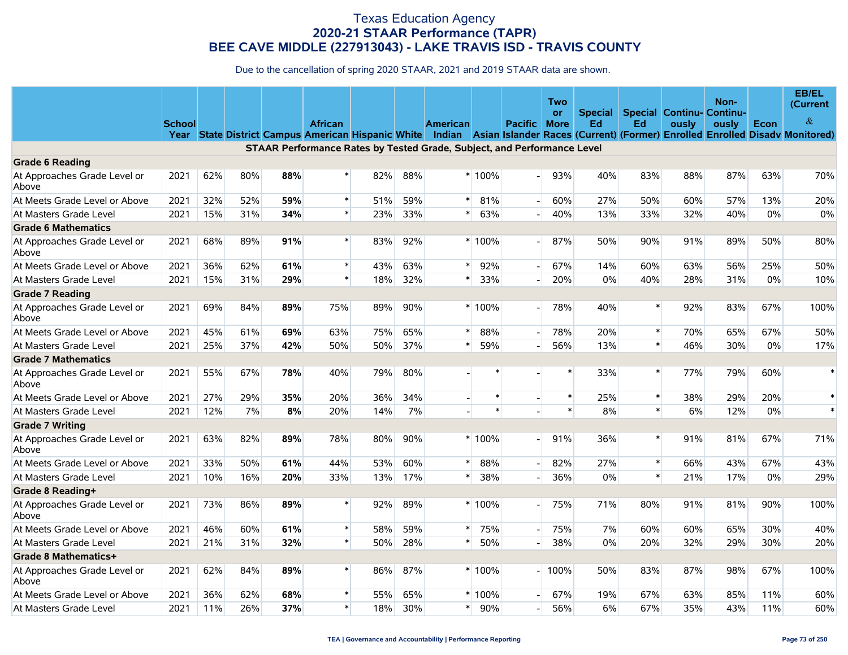# Texas Education Agency **2020-21 STAAR Performance (TAPR) BEE CAVE MIDDLE (227913043) - LAKE TRAVIS ISD - TRAVIS COUNTY**

Due to the cancellation of spring 2020 STAAR, 2021 and 2019 STAAR data are shown.

|                                       |               |     |     |     |                |     |     |                                                                         |          |                          | Two         |                |        |                           | Non-  |       | EB/EL<br>(Current                                                                                                                             |
|---------------------------------------|---------------|-----|-----|-----|----------------|-----|-----|-------------------------------------------------------------------------|----------|--------------------------|-------------|----------------|--------|---------------------------|-------|-------|-----------------------------------------------------------------------------------------------------------------------------------------------|
|                                       |               |     |     |     |                |     |     |                                                                         |          |                          | <b>or</b>   | <b>Special</b> |        | Special Continu- Continu- |       |       |                                                                                                                                               |
|                                       | <b>School</b> |     |     |     | <b>African</b> |     |     | <b>American</b>                                                         |          | <b>Pacific</b>           | <b>More</b> | Ed             | Ed     | ously                     | ously | Econ  | $\&$<br>Year State District Campus American Hispanic White Indian Asian Islander Races (Current) (Former) Enrolled Enrolled Disady Monitored) |
|                                       |               |     |     |     |                |     |     | STAAR Performance Rates by Tested Grade, Subject, and Performance Level |          |                          |             |                |        |                           |       |       |                                                                                                                                               |
| <b>Grade 6 Reading</b>                |               |     |     |     |                |     |     |                                                                         |          |                          |             |                |        |                           |       |       |                                                                                                                                               |
| At Approaches Grade Level or<br>Above | 2021          | 62% | 80% | 88% | $\ast$         | 82% | 88% |                                                                         | $*100%$  |                          | 93%         | 40%            | 83%    | 88%                       | 87%   | 63%   | 70%                                                                                                                                           |
| At Meets Grade Level or Above         | 2021          | 32% | 52% | 59% | $\ast$         | 51% | 59% | $\ast$                                                                  | 81%      | $\overline{\phantom{a}}$ | 60%         | 27%            | 50%    | 60%                       | 57%   | 13%   | 20%                                                                                                                                           |
| At Masters Grade Level                | 2021          | 15% | 31% | 34% | $\ast$         | 23% | 33% | $\ast$                                                                  | 63%      |                          | 40%         | 13%            | 33%    | 32%                       | 40%   | 0%    | 0%                                                                                                                                            |
| <b>Grade 6 Mathematics</b>            |               |     |     |     |                |     |     |                                                                         |          |                          |             |                |        |                           |       |       |                                                                                                                                               |
| At Approaches Grade Level or<br>Above | 2021          | 68% | 89% | 91% | $\ast$         | 83% | 92% |                                                                         | $*100%$  |                          | 87%         | 50%            | 90%    | 91%                       | 89%   | 50%   | 80%                                                                                                                                           |
| At Meets Grade Level or Above         | 2021          | 36% | 62% | 61% | $\ast$         | 43% | 63% | $\ast$                                                                  | 92%      |                          | 67%         | 14%            | 60%    | 63%                       | 56%   | 25%   | 50%                                                                                                                                           |
| At Masters Grade Level                | 2021          | 15% | 31% | 29% | $\ast$         | 18% | 32% |                                                                         | 33%      |                          | 20%         | $0\%$          | 40%    | 28%                       | 31%   | 0%    | 10%                                                                                                                                           |
| Grade 7 Reading                       |               |     |     |     |                |     |     |                                                                         |          |                          |             |                |        |                           |       |       |                                                                                                                                               |
| At Approaches Grade Level or<br>Above | 2021          | 69% | 84% | 89% | 75%            | 89% | 90% |                                                                         | $*100\%$ |                          | 78%         | 40%            | $\ast$ | 92%                       | 83%   | 67%   | 100%                                                                                                                                          |
| At Meets Grade Level or Above         | 2021          | 45% | 61% | 69% | 63%            | 75% | 65% | $\ast$                                                                  | 88%      |                          | 78%         | 20%            | $\ast$ | 70%                       | 65%   | 67%   | 50%                                                                                                                                           |
| At Masters Grade Level                | 2021          | 25% | 37% | 42% | 50%            | 50% | 37% | $\ast$                                                                  | 59%      |                          | 56%         | 13%            | $\ast$ | 46%                       | 30%   | 0%    | 17%                                                                                                                                           |
| <b>Grade 7 Mathematics</b>            |               |     |     |     |                |     |     |                                                                         |          |                          |             |                |        |                           |       |       |                                                                                                                                               |
| At Approaches Grade Level or<br>Above | 2021          | 55% | 67% | 78% | 40%            | 79% | 80% |                                                                         | $\ast$   |                          | $\ast$      | 33%            | $\ast$ | 77%                       | 79%   | 60%   | $\ast$                                                                                                                                        |
| At Meets Grade Level or Above         | 2021          | 27% | 29% | 35% | 20%            | 36% | 34% | $\overline{a}$                                                          | $\ast$   | $\blacksquare$           | $\ast$      | 25%            | $\ast$ | 38%                       | 29%   | 20%   | $\ast$                                                                                                                                        |
| At Masters Grade Level                | 2021          | 12% | 7%  | 8%  | 20%            | 14% | 7%  |                                                                         | $\ast$   |                          | $\ast$      | 8%             | $\ast$ | 6%                        | 12%   | $0\%$ | $\ast$                                                                                                                                        |
| <b>Grade 7 Writing</b>                |               |     |     |     |                |     |     |                                                                         |          |                          |             |                |        |                           |       |       |                                                                                                                                               |
| At Approaches Grade Level or<br>Above | 2021          | 63% | 82% | 89% | 78%            | 80% | 90% |                                                                         | $*100\%$ |                          | 91%         | 36%            | $\ast$ | 91%                       | 81%   | 67%   | 71%                                                                                                                                           |
| At Meets Grade Level or Above         | 2021          | 33% | 50% | 61% | 44%            | 53% | 60% |                                                                         | 88%      |                          | 82%         | 27%            | $\ast$ | 66%                       | 43%   | 67%   | 43%                                                                                                                                           |
| At Masters Grade Level                | 2021          | 10% | 16% | 20% | 33%            | 13% | 17% | $\ast$                                                                  | 38%      |                          | 36%         | 0%             | $\ast$ | 21%                       | 17%   | $0\%$ | 29%                                                                                                                                           |
| Grade 8 Reading+                      |               |     |     |     |                |     |     |                                                                         |          |                          |             |                |        |                           |       |       |                                                                                                                                               |
| At Approaches Grade Level or<br>Above | 2021          | 73% | 86% | 89% | $\ast$         | 92% | 89% |                                                                         | $*100%$  |                          | 75%         | 71%            | 80%    | 91%                       | 81%   | 90%   | 100%                                                                                                                                          |
| At Meets Grade Level or Above         | 2021          | 46% | 60% | 61% | $\ast$         | 58% | 59% |                                                                         | 75%      |                          | 75%         | 7%             | 60%    | 60%                       | 65%   | 30%   | 40%                                                                                                                                           |
| At Masters Grade Level                | 2021          | 21% | 31% | 32% | $\ast$         | 50% | 28% |                                                                         | 50%      |                          | 38%         | 0%             | 20%    | 32%                       | 29%   | 30%   | 20%                                                                                                                                           |
| Grade 8 Mathematics+                  |               |     |     |     |                |     |     |                                                                         |          |                          |             |                |        |                           |       |       |                                                                                                                                               |
| At Approaches Grade Level or<br>Above | 2021          | 62% | 84% | 89% | $\ast$         | 86% | 87% |                                                                         | $*100%$  |                          | $-100%$     | 50%            | 83%    | 87%                       | 98%   | 67%   | 100%                                                                                                                                          |
| At Meets Grade Level or Above         | 2021          | 36% | 62% | 68% | $\ast$         | 55% | 65% |                                                                         | $*100%$  |                          | 67%         | 19%            | 67%    | 63%                       | 85%   | 11%   | 60%                                                                                                                                           |
| At Masters Grade Level                | 2021          | 11% | 26% | 37% | $\ast$         | 18% | 30% |                                                                         | 90%      |                          | 56%         | 6%             | 67%    | 35%                       | 43%   | 11%   | 60%                                                                                                                                           |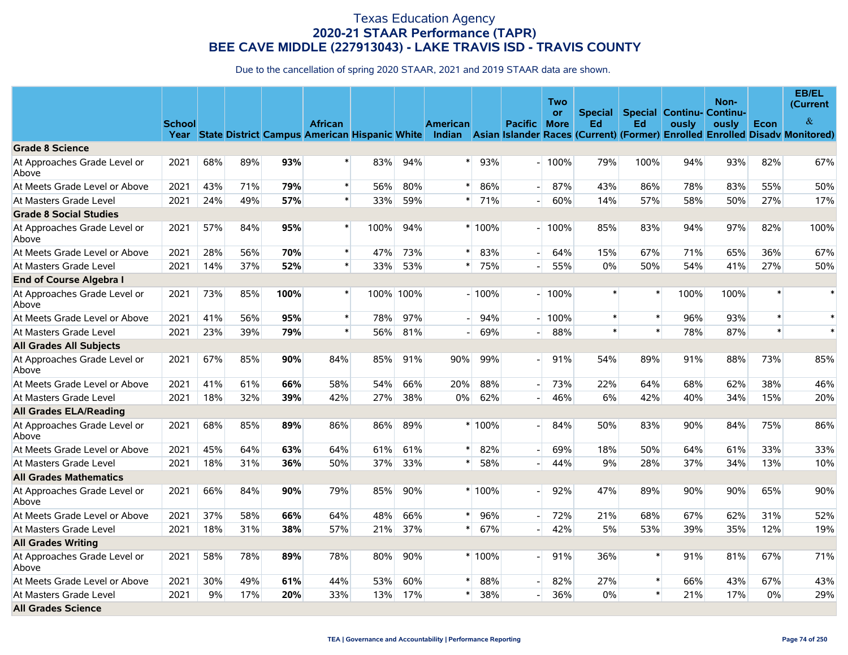# Texas Education Agency **2020-21 STAAR Performance (TAPR) BEE CAVE MIDDLE (227913043) - LAKE TRAVIS ISD - TRAVIS COUNTY**

Due to the cancellation of spring 2020 STAAR, 2021 and 2019 STAAR data are shown.

|                                       |               |     |     |      |                |      |           |                 |         |                | Two         |                |        |                                  | Non-  |        | EB/EL                                                                                                                                 |
|---------------------------------------|---------------|-----|-----|------|----------------|------|-----------|-----------------|---------|----------------|-------------|----------------|--------|----------------------------------|-------|--------|---------------------------------------------------------------------------------------------------------------------------------------|
|                                       |               |     |     |      |                |      |           |                 |         |                | <b>or</b>   | <b>Special</b> |        | <b>Special Continu- Continu-</b> |       |        | (Current<br>$\&$                                                                                                                      |
|                                       | <b>School</b> |     |     |      | <b>African</b> |      |           | <b>American</b> |         | <b>Pacific</b> | <b>More</b> | Ed             | Ed     | ously                            | ously | Econ   | Year State District Campus American Hispanic White Indian Asian Islander Races (Current) (Former) Enrolled Enrolled Disady Monitored) |
| <b>Grade 8 Science</b>                |               |     |     |      |                |      |           |                 |         |                |             |                |        |                                  |       |        |                                                                                                                                       |
| At Approaches Grade Level or<br>Above | 2021          | 68% | 89% | 93%  | $\pmb{\ast}$   | 83%  | 94%       | $\ast$          | 93%     |                | 100%        | 79%            | 100%   | 94%                              | 93%   | 82%    | 67%                                                                                                                                   |
| At Meets Grade Level or Above         | 2021          | 43% | 71% | 79%  | $\pmb{\ast}$   | 56%  | 80%       | $\ast$          | 86%     |                | 87%         | 43%            | 86%    | 78%                              | 83%   | 55%    | 50%                                                                                                                                   |
| At Masters Grade Level                | 2021          | 24% | 49% | 57%  | $\pmb{\ast}$   | 33%  | 59%       | $\ast$          | 71%     |                | 60%         | 14%            | 57%    | 58%                              | 50%   | 27%    | 17%                                                                                                                                   |
| <b>Grade 8 Social Studies</b>         |               |     |     |      |                |      |           |                 |         |                |             |                |        |                                  |       |        |                                                                                                                                       |
| At Approaches Grade Level or<br>Above | 2021          | 57% | 84% | 95%  | $\ast$         | 100% | 94%       |                 | $*100%$ |                | 100%        | 85%            | 83%    | 94%                              | 97%   | 82%    | 100%                                                                                                                                  |
| At Meets Grade Level or Above         | 2021          | 28% | 56% | 70%  | $\ast$         | 47%  | 73%       | $\ast$          | 83%     |                | 64%         | 15%            | 67%    | 71%                              | 65%   | 36%    | 67%                                                                                                                                   |
| At Masters Grade Level                | 2021          | 14% | 37% | 52%  | $\pmb{\ast}$   | 33%  | 53%       | $\ast$          | 75%     |                | 55%         | $0\%$          | 50%    | 54%                              | 41%   | 27%    | 50%                                                                                                                                   |
| <b>End of Course Algebra I</b>        |               |     |     |      |                |      |           |                 |         |                |             |                |        |                                  |       |        |                                                                                                                                       |
| At Approaches Grade Level or<br>Above | 2021          | 73% | 85% | 100% | $\ast$         |      | 100% 100% |                 | $-100%$ |                | 100%        | $\ast$         | $\ast$ | 100%                             | 100%  | $\ast$ | $\ast$                                                                                                                                |
| At Meets Grade Level or Above         | 2021          | 41% | 56% | 95%  | $\ast$         | 78%  | 97%       |                 | 94%     |                | 100%        | $\ast$         | $\ast$ | 96%                              | 93%   | $\ast$ | $\ast$                                                                                                                                |
| At Masters Grade Level                | 2021          | 23% | 39% | 79%  | $\ast$         | 56%  | 81%       |                 | 69%     |                | 88%         | $\ast$         | $\ast$ | 78%                              | 87%   | $\ast$ | $\ast$                                                                                                                                |
| <b>All Grades All Subjects</b>        |               |     |     |      |                |      |           |                 |         |                |             |                |        |                                  |       |        |                                                                                                                                       |
| At Approaches Grade Level or<br>Above | 2021          | 67% | 85% | 90%  | 84%            | 85%  | 91%       | 90%             | 99%     |                | 91%         | 54%            | 89%    | 91%                              | 88%   | 73%    | 85%                                                                                                                                   |
| At Meets Grade Level or Above         | 2021          | 41% | 61% | 66%  | 58%            | 54%  | 66%       | 20%             | 88%     |                | 73%         | 22%            | 64%    | 68%                              | 62%   | 38%    | 46%                                                                                                                                   |
| At Masters Grade Level                | 2021          | 18% | 32% | 39%  | 42%            | 27%  | 38%       | 0%              | 62%     |                | 46%         | 6%             | 42%    | 40%                              | 34%   | 15%    | 20%                                                                                                                                   |
| <b>All Grades ELA/Reading</b>         |               |     |     |      |                |      |           |                 |         |                |             |                |        |                                  |       |        |                                                                                                                                       |
| At Approaches Grade Level or<br>Above | 2021          | 68% | 85% | 89%  | 86%            | 86%  | 89%       |                 | * 100%  |                | 84%         | 50%            | 83%    | 90%                              | 84%   | 75%    | 86%                                                                                                                                   |
| At Meets Grade Level or Above         | 2021          | 45% | 64% | 63%  | 64%            | 61%  | 61%       | $\ast$          | 82%     |                | 69%         | 18%            | 50%    | 64%                              | 61%   | 33%    | 33%                                                                                                                                   |
| At Masters Grade Level                | 2021          | 18% | 31% | 36%  | 50%            | 37%  | 33%       | $\ast$          | 58%     |                | 44%         | 9%             | 28%    | 37%                              | 34%   | 13%    | 10%                                                                                                                                   |
| All Grades Mathematics                |               |     |     |      |                |      |           |                 |         |                |             |                |        |                                  |       |        |                                                                                                                                       |
| At Approaches Grade Level or<br>Above | 2021          | 66% | 84% | 90%  | 79%            | 85%  | 90%       |                 | $*100%$ |                | 92%         | 47%            | 89%    | 90%                              | 90%   | 65%    | 90%                                                                                                                                   |
| At Meets Grade Level or Above         | 2021          | 37% | 58% | 66%  | 64%            | 48%  | 66%       | $\ast$          | 96%     | $\overline{a}$ | 72%         | 21%            | 68%    | 67%                              | 62%   | 31%    | 52%                                                                                                                                   |
| At Masters Grade Level                | 2021          | 18% | 31% | 38%  | 57%            | 21%  | 37%       | $\ast$          | 67%     |                | 42%         | 5%             | 53%    | 39%                              | 35%   | 12%    | 19%                                                                                                                                   |
| All Grades Writing                    |               |     |     |      |                |      |           |                 |         |                |             |                |        |                                  |       |        |                                                                                                                                       |
| At Approaches Grade Level or<br>Above | 2021          | 58% | 78% | 89%  | 78%            | 80%  | 90%       |                 | * 100%  |                | 91%         | 36%            | $\ast$ | 91%                              | 81%   | 67%    | 71%                                                                                                                                   |
| At Meets Grade Level or Above         | 2021          | 30% | 49% | 61%  | 44%            | 53%  | 60%       | *               | 88%     |                | 82%         | 27%            | $\ast$ | 66%                              | 43%   | 67%    | 43%                                                                                                                                   |
| At Masters Grade Level                | 2021          | 9%  | 17% | 20%  | 33%            | 13%  | 17%       |                 | 38%     |                | 36%         | 0%             | $\ast$ | 21%                              | 17%   | 0%     | 29%                                                                                                                                   |
| All Grades Science                    |               |     |     |      |                |      |           |                 |         |                |             |                |        |                                  |       |        |                                                                                                                                       |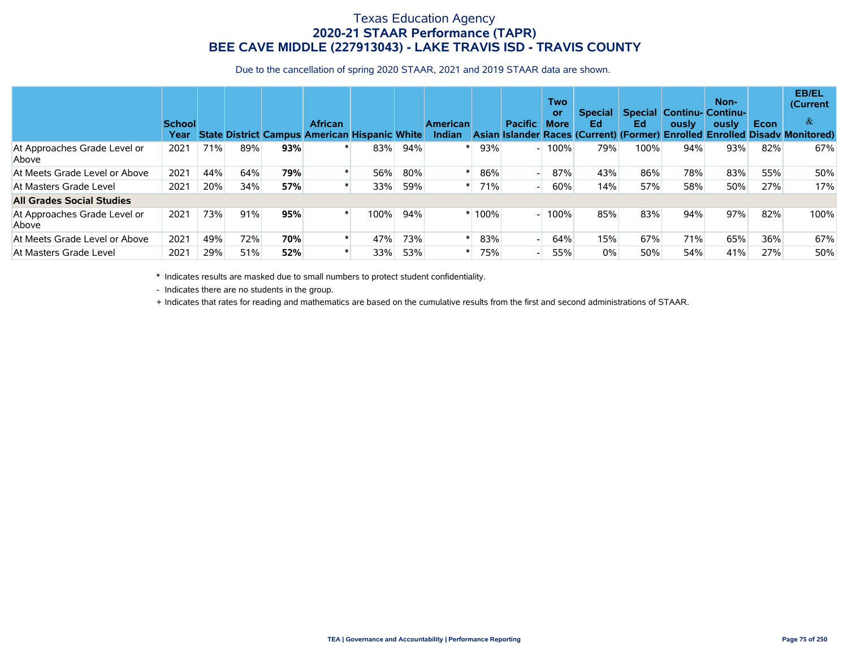## Texas Education Agency **2020-21 STAAR Performance (TAPR) BEE CAVE MIDDLE (227913043) - LAKE TRAVIS ISD - TRAVIS COUNTY**

Due to the cancellation of spring 2020 STAAR, 2021 and 2019 STAAR data are shown.

|                                       | <b>School</b><br>Year |     |     |     | <b>African</b><br><b>State District Campus American Hispanic White</b> |      |     | American<br><b>Indian</b> |         | <b>Pacific</b> | <b>Two</b><br>or<br><b>More</b> | <b>Special</b><br>Ed | <b>Special</b><br>Ed | <b>Continu-Continu-</b><br>ously | Non-<br>ously | Econ | <b>EB/EL</b><br>(Current<br>$\alpha$<br>Asian Islander Races (Current) (Former) Enrolled Enrolled Disady Monitored) |
|---------------------------------------|-----------------------|-----|-----|-----|------------------------------------------------------------------------|------|-----|---------------------------|---------|----------------|---------------------------------|----------------------|----------------------|----------------------------------|---------------|------|---------------------------------------------------------------------------------------------------------------------|
| At Approaches Grade Level or<br>Above | 2021                  | 71% | 89% | 93% |                                                                        | 83%  | 94% |                           | 93%     |                | 100%                            | 79%                  | 100%                 | 94%                              | 93%           | 82%  | 67%                                                                                                                 |
| At Meets Grade Level or Above         | 2021                  | 44% | 64% | 79% |                                                                        | 56%  | 80% |                           | 86%     |                | 87%                             | 43%                  | 86%                  | 78%                              | 83%           | 55%  | 50%                                                                                                                 |
| At Masters Grade Level                | 2021                  | 20% | 34% | 57% |                                                                        | 33%  | 59% |                           | 71%     |                | 60%                             | 14%                  | 57%                  | 58%                              | 50%           | 27%  | 17%                                                                                                                 |
| <b>All Grades Social Studies</b>      |                       |     |     |     |                                                                        |      |     |                           |         |                |                                 |                      |                      |                                  |               |      |                                                                                                                     |
| At Approaches Grade Level or<br>Above | 2021                  | 73% | 91% | 95% |                                                                        | 100% | 94% |                           | $*100%$ |                | 100%                            | 85%                  | 83%                  | 94%                              | 97%           | 82%  | 100%                                                                                                                |
| At Meets Grade Level or Above         | 2021                  | 49% | 72% | 70% |                                                                        | 47%  | 73% |                           | 83%     |                | 64%                             | 15%                  | 67%                  | 71%                              | 65%           | 36%  | 67%                                                                                                                 |
| At Masters Grade Level                | 2021                  | 29% | 51% | 52% |                                                                        | 33%  | 53% |                           | 75%     |                | 55%                             | $0\%$                | 50%                  | 54%                              | 41%           | 27%  | 50%                                                                                                                 |

\* Indicates results are masked due to small numbers to protect student confidentiality.

- Indicates there are no students in the group.

+ Indicates that rates for reading and mathematics are based on the cumulative results from the first and second administrations of STAAR.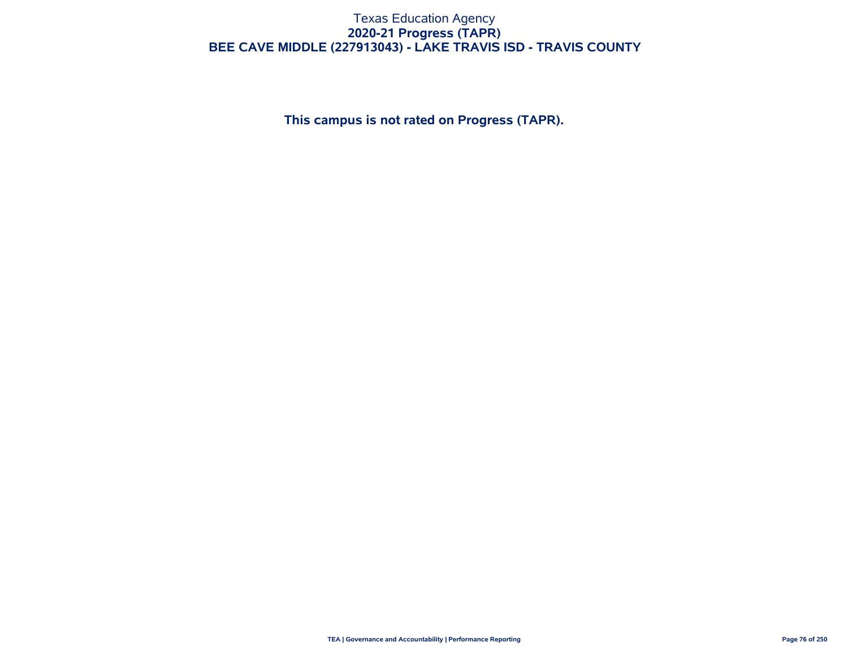## Texas Education Agency **2020-21 Progress (TAPR) BEE CAVE MIDDLE (227913043) - LAKE TRAVIS ISD - TRAVIS COUNTY**

**This campus is not rated on Progress (TAPR).**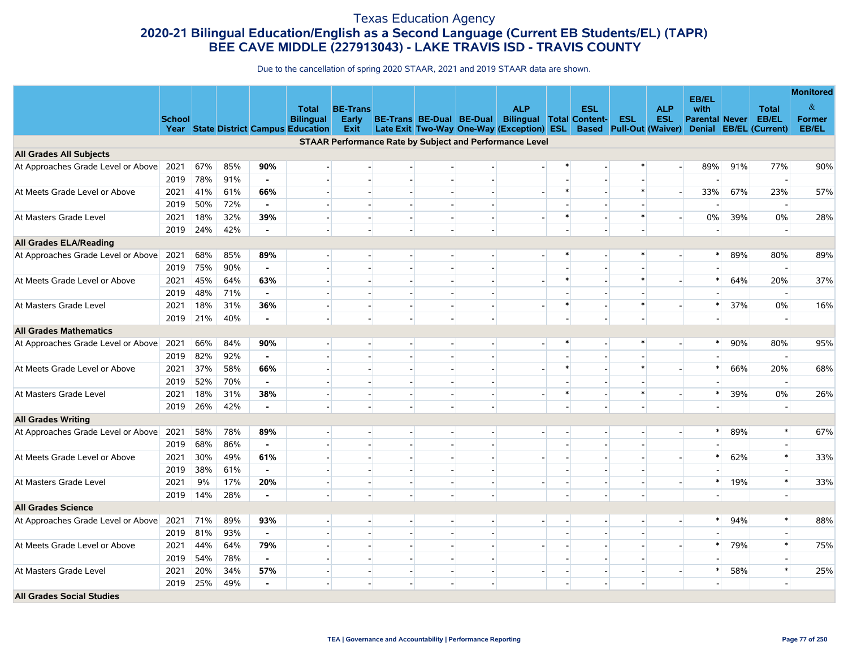# Texas Education Agency **2020-21 Bilingual Education/English as a Second Language (Current EB Students/EL) (TAPR) BEE CAVE MIDDLE (227913043) - LAKE TRAVIS ISD - TRAVIS COUNTY**

Due to the cancellation of spring 2020 STAAR, 2021 and 2019 STAAR data are shown.

|                                    |               |     |     |                |                                                                 |                          |                          |                          |                          |                                                                              |                          |                |                          |                                | EB/EL                 |     |                              | <b>Monitored</b>       |
|------------------------------------|---------------|-----|-----|----------------|-----------------------------------------------------------------|--------------------------|--------------------------|--------------------------|--------------------------|------------------------------------------------------------------------------|--------------------------|----------------|--------------------------|--------------------------------|-----------------------|-----|------------------------------|------------------------|
|                                    | <b>School</b> |     |     |                | <b>Total</b>                                                    | <b>BE-Trans</b><br>Early |                          |                          |                          | <b>ALP</b>                                                                   |                          | <b>ESL</b>     |                          | <b>ALP</b><br><b>ESL</b>       | with                  |     | <b>Total</b><br><b>EB/EL</b> | $\&$                   |
|                                    |               |     |     |                | <b>Bilingual</b><br><b>Year State District Campus Education</b> | Exit                     |                          | BE-Trans BE-Dual BE-Dual |                          | <b>Bilingual Total Content-</b><br>Late Exit Two-Way One-Way (Exception) ESL |                          |                | <b>ESL</b>               | <b>Based Pull-Out (Waiver)</b> | <b>Parental Never</b> |     | Denial EB/EL (Current)       | <b>Former</b><br>EB/EL |
|                                    |               |     |     |                |                                                                 |                          |                          |                          |                          | <b>STAAR Performance Rate by Subject and Performance Level</b>               |                          |                |                          |                                |                       |     |                              |                        |
| <b>All Grades All Subjects</b>     |               |     |     |                |                                                                 |                          |                          |                          |                          |                                                                              |                          |                |                          |                                |                       |     |                              |                        |
| At Approaches Grade Level or Above | 2021          | 67% | 85% | 90%            | $\overline{\phantom{a}}$                                        | $\overline{a}$           | $\overline{\phantom{a}}$ |                          |                          | $\overline{\phantom{a}}$                                                     |                          |                | $\ast$                   | $\sim$                         | 89%                   | 91% | 77%                          | 90%                    |
|                                    | 2019          | 78% | 91% | $\blacksquare$ | $\sim$                                                          |                          |                          |                          |                          |                                                                              |                          |                |                          |                                |                       |     |                              |                        |
| At Meets Grade Level or Above      | 2021          | 41% | 61% | 66%            | $\overline{a}$                                                  |                          |                          |                          |                          |                                                                              | $\ast$                   |                | $\ast$                   |                                | 33%                   | 67% | 23%                          | 57%                    |
|                                    | 2019          | 50% | 72% | $\blacksquare$ | $\overline{\phantom{a}}$                                        | $\mathbf{u}^{(1)}$       | $\overline{a}$           |                          |                          |                                                                              |                          |                |                          |                                |                       |     |                              |                        |
| At Masters Grade Level             | 2021          | 18% | 32% | 39%            | $\overline{\phantom{a}}$                                        | $\overline{\phantom{a}}$ | $\overline{a}$           | $\overline{\phantom{a}}$ |                          | $\overline{\phantom{a}}$                                                     | $\ast$                   |                | $\ast$                   | $\sim$                         | 0%                    | 39% | 0%                           | 28%                    |
|                                    | 2019          | 24% | 42% | $\mathbf{r}$   |                                                                 |                          |                          |                          |                          |                                                                              |                          |                |                          |                                |                       |     |                              |                        |
| <b>All Grades ELA/Reading</b>      |               |     |     |                |                                                                 |                          |                          |                          |                          |                                                                              |                          |                |                          |                                |                       |     |                              |                        |
| At Approaches Grade Level or Above | 2021          | 68% | 85% | 89%            | $\overline{\phantom{a}}$                                        |                          | $\overline{\phantom{a}}$ |                          |                          |                                                                              |                          |                | $\ast$                   |                                | $\ast$                | 89% | 80%                          | 89%                    |
|                                    | 2019          | 75% | 90% | $\blacksquare$ | $\overline{a}$                                                  | $\overline{a}$           |                          |                          |                          |                                                                              |                          |                |                          |                                |                       |     |                              |                        |
| At Meets Grade Level or Above      | 2021          | 45% | 64% | 63%            | $\sim$                                                          | $\sim$                   | $\sim$                   | $\blacksquare$           | $\overline{\phantom{a}}$ | $\overline{\phantom{a}}$                                                     | $\ast$                   |                | $\ast$                   | $\overline{\phantom{a}}$       | $\ast$                | 64% | 20%                          | 37%                    |
|                                    | 2019          | 48% | 71% | $\blacksquare$ | $\sim$                                                          |                          | $\blacksquare$           |                          |                          |                                                                              |                          |                |                          |                                |                       |     |                              |                        |
| At Masters Grade Level             | 2021          | 18% | 31% | 36%            | $\overline{\phantom{a}}$                                        | $\overline{a}$           | $\overline{\phantom{a}}$ | $\overline{\phantom{a}}$ | $\sim$                   | $\overline{a}$                                                               | $\ast$                   | $\overline{a}$ | $\ast$                   | $\overline{a}$                 | $\ast$                | 37% | 0%                           | 16%                    |
|                                    | 2019          | 21% | 40% | $\mathbf{r}$   | $\overline{\phantom{a}}$                                        | $\sim$                   | $\overline{\phantom{a}}$ | $\overline{a}$           | $\overline{\phantom{a}}$ |                                                                              |                          |                |                          |                                |                       |     | $\overline{a}$               |                        |
| <b>All Grades Mathematics</b>      |               |     |     |                |                                                                 |                          |                          |                          |                          |                                                                              |                          |                |                          |                                |                       |     |                              |                        |
| At Approaches Grade Level or Above | 2021          | 66% | 84% | 90%            | $\overline{a}$                                                  | $\overline{a}$           | $\overline{a}$           |                          |                          | $\overline{\phantom{a}}$                                                     | $\ast$                   |                | $\ast$                   | $\overline{a}$                 | $\ast$                | 90% | 80%                          | 95%                    |
|                                    | 2019          | 82% | 92% | $\sim$         | $\overline{\phantom{a}}$                                        | $\overline{\phantom{a}}$ | $\blacksquare$           |                          |                          |                                                                              |                          |                |                          |                                |                       |     |                              |                        |
| At Meets Grade Level or Above      | 2021          | 37% | 58% | 66%            | $\overline{\phantom{a}}$                                        |                          |                          |                          |                          |                                                                              | $\ast$                   |                | $\ast$                   |                                | *                     | 66% | 20%                          | 68%                    |
|                                    | 2019          | 52% | 70% | $\blacksquare$ | $\overline{a}$                                                  | $\overline{a}$           | $\overline{a}$           |                          |                          |                                                                              |                          |                |                          |                                |                       |     |                              |                        |
| At Masters Grade Level             | 2021          | 18% | 31% | 38%            | $\sim$                                                          | $\sim$                   | $\overline{\phantom{a}}$ |                          |                          | $\overline{\phantom{a}}$                                                     | $\ast$                   |                | $\ast$                   |                                | *                     | 39% | 0%                           | 26%                    |
|                                    | 2019          | 26% | 42% |                |                                                                 |                          |                          |                          |                          |                                                                              |                          |                |                          |                                |                       |     |                              |                        |
| <b>All Grades Writing</b>          |               |     |     |                |                                                                 |                          |                          |                          |                          |                                                                              |                          |                |                          |                                |                       |     |                              |                        |
| At Approaches Grade Level or Above | 2021          | 58% | 78% | 89%            | $\overline{\phantom{a}}$                                        | $\overline{\phantom{a}}$ | $\overline{\phantom{a}}$ |                          | $\overline{\phantom{a}}$ | $\overline{\phantom{a}}$                                                     |                          |                |                          |                                | $\ast$                | 89% | $\ast$                       | 67%                    |
|                                    | 2019          | 68% | 86% | $\sim$         | $\overline{\phantom{a}}$                                        | $\overline{a}$           |                          |                          |                          |                                                                              |                          |                |                          |                                |                       |     |                              |                        |
| At Meets Grade Level or Above      | 2021          | 30% | 49% | 61%            | $\overline{\phantom{a}}$                                        | $\overline{\phantom{a}}$ | $\overline{a}$           | $\overline{a}$           |                          | $\overline{a}$                                                               |                          |                |                          | $\overline{a}$                 | *                     | 62% | $\ast$                       | 33%                    |
|                                    | 2019          | 38% | 61% | $\blacksquare$ | $\overline{\phantom{a}}$                                        |                          | $\overline{\phantom{a}}$ |                          |                          |                                                                              |                          |                |                          |                                |                       |     |                              |                        |
| At Masters Grade Level             | 2021          | 9%  | 17% | 20%            |                                                                 |                          |                          |                          |                          |                                                                              |                          |                |                          |                                | $\ast$                | 19% | $\ast$                       | 33%                    |
|                                    | 2019          | 14% | 28% | $\overline{a}$ | $\overline{\phantom{a}}$                                        | $\sim$                   | $\overline{a}$           |                          | $\overline{\phantom{a}}$ |                                                                              |                          |                |                          |                                |                       |     |                              |                        |
| <b>All Grades Science</b>          |               |     |     |                |                                                                 |                          |                          |                          |                          |                                                                              |                          |                |                          |                                |                       |     |                              |                        |
| At Approaches Grade Level or Above | 2021          | 71% | 89% | 93%            | $\overline{a}$                                                  | $\overline{a}$           | $\overline{\phantom{a}}$ |                          | $\sim$                   |                                                                              |                          |                | $\blacksquare$           | $\sim$                         | $\ast$                | 94% | $\ast$                       | 88%                    |
|                                    | 2019          | 81% | 93% | $\sim$         | $\overline{\phantom{a}}$                                        | $\mathbf{r}$             | $\overline{a}$           | $\overline{a}$           | $\overline{\phantom{a}}$ |                                                                              | $\overline{\phantom{a}}$ |                |                          |                                |                       |     |                              |                        |
| At Meets Grade Level or Above      | 2021          | 44% | 64% | 79%            | $\overline{\phantom{a}}$                                        |                          | $\overline{\phantom{a}}$ |                          |                          | $\overline{\phantom{a}}$                                                     |                          |                |                          |                                |                       | 79% | $\ast$                       | 75%                    |
|                                    | 2019          | 54% | 78% | $\blacksquare$ | $\overline{a}$                                                  |                          |                          |                          |                          |                                                                              |                          |                |                          |                                |                       |     |                              |                        |
| At Masters Grade Level             | 2021          | 20% | 34% | 57%            | $\sim$                                                          | $\sim$                   | $\overline{a}$           | $\overline{\phantom{a}}$ | $\overline{\phantom{a}}$ | $\overline{\phantom{a}}$                                                     | $\overline{\phantom{a}}$ | $\overline{a}$ | $\overline{\phantom{a}}$ | $\overline{a}$                 | $\ast$                | 58% | $\ast$                       | 25%                    |
|                                    | 2019          | 25% | 49% |                |                                                                 |                          |                          |                          |                          |                                                                              |                          |                |                          |                                |                       |     |                              |                        |
| <b>All Grades Social Studies</b>   |               |     |     |                |                                                                 |                          |                          |                          |                          |                                                                              |                          |                |                          |                                |                       |     |                              |                        |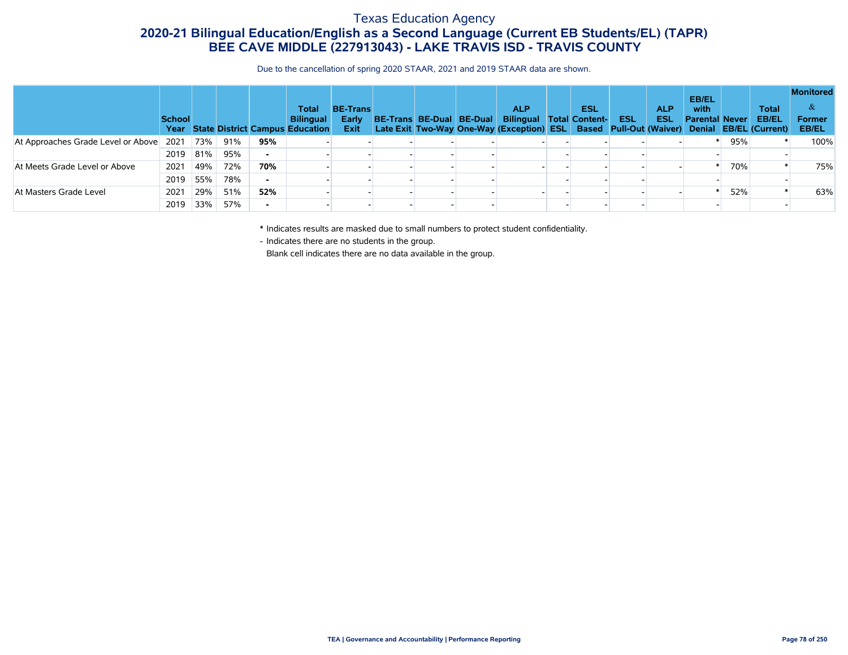# Texas Education Agency **2020-21 Bilingual Education/English as a Second Language (Current EB Students/EL) (TAPR) BEE CAVE MIDDLE (227913043) - LAKE TRAVIS ISD - TRAVIS COUNTY**

Due to the cancellation of spring 2020 STAAR, 2021 and 2019 STAAR data are shown.

|                                         | School<br>Year |     |     |                | Total<br><b>Bilingual</b><br><b>State District Campus Education</b> | <b>BE-Trans</b><br>Early<br><b>Exit</b> | BE-Trans BE-Dual BE-Dual |  | <b>ALP</b><br><b>Bilingual Total Content-</b><br>Late Exit Two-Way One-Way (Exception) ESL Based Pull-Out (Waiver) Denial EB/EL (Current) | <b>ESL</b> | <b>ESL</b> | <b>ALP</b><br><b>ESL</b> | <b>EB/EL</b><br>with<br><b>Parental Never</b> |     | <b>Total</b><br><b>EB/EL</b> | <b>Monitored</b><br>$\alpha$<br><b>Former</b><br><b>EB/EL</b> |
|-----------------------------------------|----------------|-----|-----|----------------|---------------------------------------------------------------------|-----------------------------------------|--------------------------|--|-------------------------------------------------------------------------------------------------------------------------------------------|------------|------------|--------------------------|-----------------------------------------------|-----|------------------------------|---------------------------------------------------------------|
| At Approaches Grade Level or Above 2021 |                | 73% | 91% | 95%            |                                                                     |                                         |                          |  |                                                                                                                                           |            |            |                          |                                               | 95% |                              | 100%                                                          |
|                                         | 2019           | 81% | 95% | $\blacksquare$ |                                                                     |                                         |                          |  |                                                                                                                                           |            |            |                          |                                               |     |                              |                                                               |
| At Meets Grade Level or Above           | 2021           | 49% | 72% | 70%            |                                                                     |                                         |                          |  |                                                                                                                                           |            |            |                          |                                               | 70% |                              | 75%                                                           |
|                                         | 2019           | 55% | 78% | $\blacksquare$ |                                                                     |                                         |                          |  |                                                                                                                                           |            |            |                          |                                               |     |                              |                                                               |
| At Masters Grade Level                  | 2021           | 29% | 51% | 52%            |                                                                     |                                         |                          |  |                                                                                                                                           |            |            |                          |                                               | 52% |                              | 63%                                                           |
|                                         | 2019           | 33% | 57% |                |                                                                     |                                         |                          |  |                                                                                                                                           |            |            |                          |                                               |     |                              |                                                               |

\* Indicates results are masked due to small numbers to protect student confidentiality.

- Indicates there are no students in the group.

Blank cell indicates there are no data available in the group.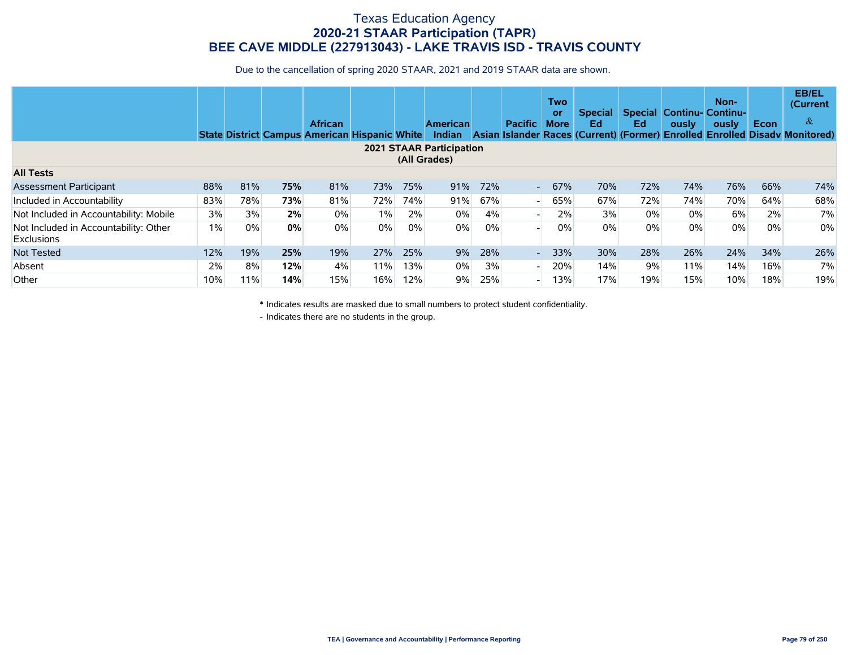# Texas Education Agency **2020-21 STAAR Participation (TAPR) BEE CAVE MIDDLE (227913043) - LAKE TRAVIS ISD - TRAVIS COUNTY**

Due to the cancellation of spring 2020 STAAR, 2021 and 2019 STAAR data are shown.

|                                                            |     |     |     | <b>African</b><br><b>State District Campus American Hispanic White</b> |       |     | <b>American</b><br>Indian                       |       | <b>Pacific</b>           | <b>Two</b><br>or<br><b>More</b> | <b>Special</b><br>Ed | Ed  | <b>Special Continu- Continu-</b><br>ously | Non-<br>ously | Econ | <b>EB/EL</b><br>(Current<br>$\alpha$<br>Asian Islander Races (Current) (Former) Enrolled Enrolled Disady Monitored) |
|------------------------------------------------------------|-----|-----|-----|------------------------------------------------------------------------|-------|-----|-------------------------------------------------|-------|--------------------------|---------------------------------|----------------------|-----|-------------------------------------------|---------------|------|---------------------------------------------------------------------------------------------------------------------|
|                                                            |     |     |     |                                                                        |       |     | <b>2021 STAAR Participation</b><br>(All Grades) |       |                          |                                 |                      |     |                                           |               |      |                                                                                                                     |
| <b>All Tests</b>                                           |     |     |     |                                                                        |       |     |                                                 |       |                          |                                 |                      |     |                                           |               |      |                                                                                                                     |
| <b>Assessment Participant</b>                              | 88% | 81% | 75% | 81%                                                                    | 73%   | 75% | 91%                                             | 72%   |                          | 67%                             | 70%                  | 72% | 74%                                       | 76%           | 66%  | 74%                                                                                                                 |
| Included in Accountability                                 | 83% | 78% | 73% | 81%                                                                    | 72%   | 74% | 91%                                             | 67%   |                          | 65%                             | 67%                  | 72% | 74%                                       | 70%           | 64%  | 68%                                                                                                                 |
| Not Included in Accountability: Mobile                     | 3%  | 3%  | 2%  | 0%                                                                     | $1\%$ | 2%  | $0\%$                                           | 4%    |                          | 2%                              | 3%                   | 0%  | 0%                                        | 6%            | 2%   | 7%                                                                                                                  |
| Not Included in Accountability: Other<br><b>Exclusions</b> | 1%  | 0%  | 0%  | 0%                                                                     | $0\%$ | 0%  | $0\%$                                           | $0\%$ |                          | $0\%$                           | 0%                   | 0%  | 0%                                        | 0%            | 0%   | 0%                                                                                                                  |
| <b>Not Tested</b>                                          | 12% | 19% | 25% | 19%                                                                    | 27%   | 25% | 9%                                              | 28%   | $\overline{\phantom{0}}$ | 33%                             | 30%                  | 28% | 26%                                       | 24%           | 34%  | 26%                                                                                                                 |
| Absent                                                     | 2%  | 8%  | 12% | 4%                                                                     | 11%   | 13% | $0\%$                                           | 3%    |                          | 20%                             | 14%                  | 9%  | 11%                                       | 14%           | 16%  | 7%                                                                                                                  |
| Other                                                      | 10% | 11% | 14% | 15%                                                                    | 16%   | 12% | 9%                                              | 25%   |                          | 13%                             | 17%                  | 19% | 15%                                       | 10%           | 18%  | 19%                                                                                                                 |

\* Indicates results are masked due to small numbers to protect student confidentiality.

- Indicates there are no students in the group.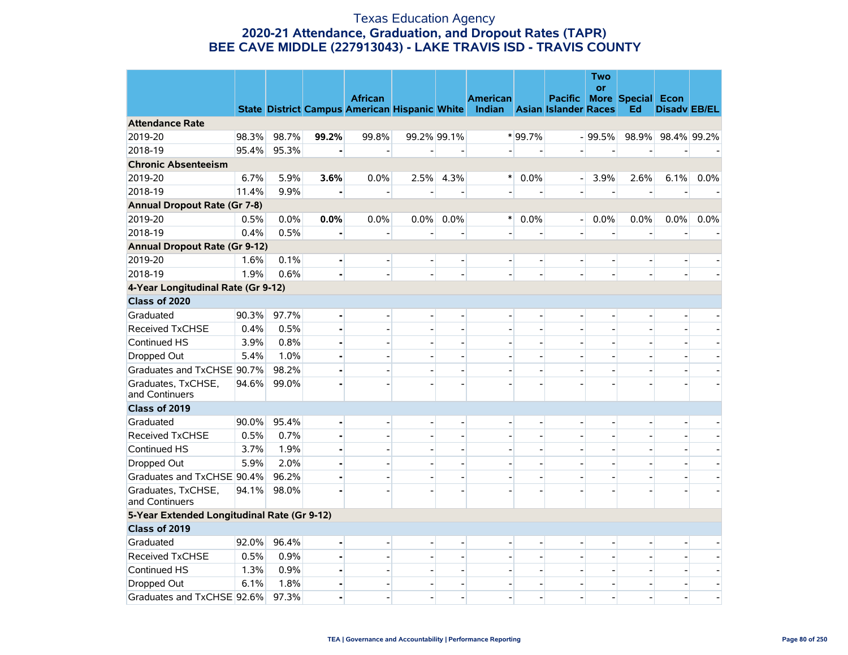#### Texas Education Agency **2020-21 Attendance, Graduation, and Dropout Rates (TAPR) BEE CAVE MIDDLE (227913043) - LAKE TRAVIS ISD - TRAVIS COUNTY**

|                                             |       |       |       | <b>African</b>                                |                          |                          | <b>American</b>             |                          | <b>Pacific</b>           | Two<br><b>or</b> | <b>More Special Econ</b> |                          |                          |
|---------------------------------------------|-------|-------|-------|-----------------------------------------------|--------------------------|--------------------------|-----------------------------|--------------------------|--------------------------|------------------|--------------------------|--------------------------|--------------------------|
|                                             |       |       |       | State District Campus American Hispanic White |                          |                          | Indian Asian Islander Races |                          |                          |                  | Ed                       | <b>Disady EB/EL</b>      |                          |
| <b>Attendance Rate</b>                      |       |       |       |                                               |                          |                          |                             |                          |                          |                  |                          |                          |                          |
| 2019-20                                     | 98.3% | 98.7% | 99.2% | 99.8%                                         |                          | 99.2% 99.1%              |                             | $*99.7%$                 |                          | $-99.5%$         |                          | 98.9% 98.4% 99.2%        |                          |
| 2018-19                                     | 95.4% | 95.3% | ÷     | $\overline{a}$                                | $\overline{a}$           |                          |                             |                          | $\overline{\phantom{0}}$ | $\overline{a}$   |                          |                          |                          |
| <b>Chronic Absenteeism</b>                  |       |       |       |                                               |                          |                          |                             |                          |                          |                  |                          |                          |                          |
| 2019-20                                     | 6.7%  | 5.9%  | 3.6%  | 0.0%                                          | 2.5%                     | 4.3%                     | $\ast$                      | 0.0%                     | $\overline{\phantom{a}}$ | 3.9%             | 2.6%                     | 6.1%                     | 0.0%                     |
| 2018-19                                     | 11.4% | 9.9%  |       |                                               |                          |                          |                             |                          |                          |                  |                          |                          |                          |
| <b>Annual Dropout Rate (Gr 7-8)</b>         |       |       |       |                                               |                          |                          |                             |                          |                          |                  |                          |                          |                          |
| 2019-20                                     | 0.5%  | 0.0%  | 0.0%  | 0.0%                                          | 0.0%                     | 0.0%                     | $\ast$                      | 0.0%                     | $\overline{\phantom{a}}$ | 0.0%             | 0.0%                     | 0.0%                     | 0.0%                     |
| 2018-19                                     | 0.4%  | 0.5%  |       |                                               |                          |                          |                             | $\overline{\phantom{0}}$ |                          | $\overline{a}$   |                          |                          |                          |
| <b>Annual Dropout Rate (Gr 9-12)</b>        |       |       |       |                                               |                          |                          |                             |                          |                          |                  |                          |                          |                          |
| 2019-20                                     | 1.6%  | 0.1%  |       |                                               | $\overline{\phantom{0}}$ |                          | $\overline{a}$              |                          |                          |                  | -                        |                          |                          |
| 2018-19                                     | 1.9%  | 0.6%  |       |                                               | $\overline{a}$           |                          |                             |                          |                          |                  |                          |                          |                          |
| 4-Year Longitudinal Rate (Gr 9-12)          |       |       |       |                                               |                          |                          |                             |                          |                          |                  |                          |                          |                          |
| Class of 2020                               |       |       |       |                                               |                          |                          |                             |                          |                          |                  |                          |                          |                          |
| Graduated                                   | 90.3% | 97.7% | ÷     |                                               | $\overline{a}$           |                          | $\overline{a}$              |                          |                          |                  | $\overline{a}$           | $\overline{\phantom{a}}$ | $\overline{\phantom{m}}$ |
| <b>Received TxCHSE</b>                      | 0.4%  | 0.5%  | ۰     |                                               | $\overline{\phantom{a}}$ |                          |                             |                          |                          |                  |                          | $\overline{a}$           |                          |
| Continued HS                                | 3.9%  | 0.8%  |       |                                               | $\overline{\phantom{a}}$ |                          | $\overline{\phantom{0}}$    |                          |                          |                  | $\overline{a}$           | $\overline{\phantom{a}}$ |                          |
| Dropped Out                                 | 5.4%  | 1.0%  | ÷     |                                               | ÷                        |                          |                             |                          |                          |                  |                          |                          |                          |
| Graduates and TxCHSE 90.7%                  |       | 98.2% |       |                                               | L                        |                          |                             |                          |                          |                  |                          |                          |                          |
| Graduates, TxCHSE,<br>and Continuers        | 94.6% | 99.0% |       |                                               |                          |                          |                             |                          |                          |                  |                          |                          |                          |
| Class of 2019                               |       |       |       |                                               |                          |                          |                             |                          |                          |                  |                          |                          |                          |
| Graduated                                   | 90.0% | 95.4% | ۰     |                                               | $\overline{\phantom{a}}$ | $\overline{\phantom{a}}$ | $\overline{a}$              | ÷                        |                          |                  | -                        | $\overline{\phantom{a}}$ |                          |
| <b>Received TxCHSE</b>                      | 0.5%  | 0.7%  | ÷     |                                               | $\overline{a}$           |                          |                             |                          |                          |                  |                          |                          |                          |
| Continued HS                                | 3.7%  | 1.9%  | ÷     |                                               | $\overline{a}$           |                          |                             |                          |                          |                  | $\overline{a}$           | $\overline{a}$           |                          |
| Dropped Out                                 | 5.9%  | 2.0%  |       |                                               | L                        |                          |                             |                          |                          |                  |                          |                          |                          |
| Graduates and TxCHSE 90.4%                  |       | 96.2% |       |                                               | $\overline{a}$           |                          |                             |                          |                          |                  | $\overline{a}$           |                          |                          |
| Graduates, TxCHSE,<br>and Continuers        | 94.1% | 98.0% |       |                                               |                          |                          |                             |                          |                          |                  |                          |                          |                          |
| 5-Year Extended Longitudinal Rate (Gr 9-12) |       |       |       |                                               |                          |                          |                             |                          |                          |                  |                          |                          |                          |
| Class of 2019                               |       |       |       |                                               |                          |                          |                             |                          |                          |                  |                          |                          |                          |
| Graduated                                   | 92.0% | 96.4% | ÷,    |                                               | $\blacksquare$           |                          | $\blacksquare$              |                          |                          |                  |                          | $\overline{\phantom{a}}$ |                          |
| <b>Received TxCHSE</b>                      | 0.5%  | 0.9%  |       |                                               | $\overline{a}$           |                          |                             |                          |                          |                  |                          |                          |                          |
| Continued HS                                | 1.3%  | 0.9%  |       |                                               | $\overline{a}$           |                          |                             |                          |                          |                  | $\overline{a}$           | $\blacksquare$           |                          |
| Dropped Out                                 | 6.1%  | 1.8%  |       |                                               | $\overline{\phantom{a}}$ |                          |                             |                          |                          |                  | $\overline{\phantom{0}}$ |                          | $\blacksquare$           |
| Graduates and TxCHSE 92.6%                  |       | 97.3% |       |                                               | $\overline{a}$           |                          |                             |                          |                          |                  | $\overline{a}$           |                          | $\overline{\phantom{a}}$ |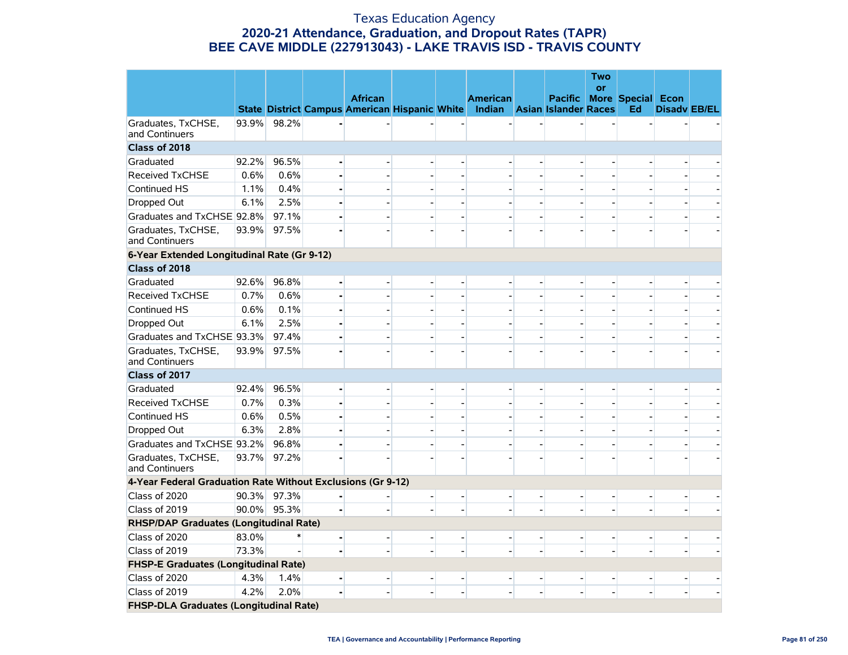#### Texas Education Agency **2020-21 Attendance, Graduation, and Dropout Rates (TAPR) BEE CAVE MIDDLE (227913043) - LAKE TRAVIS ISD - TRAVIS COUNTY**

|                                                             |       |             |                                                      |                          |                          |                |                             | Two<br><b>or</b> |                          |                     |                          |
|-------------------------------------------------------------|-------|-------------|------------------------------------------------------|--------------------------|--------------------------|----------------|-----------------------------|------------------|--------------------------|---------------------|--------------------------|
|                                                             |       |             | <b>African</b>                                       |                          | <b>American</b>          |                | <b>Pacific</b>              |                  | <b>More Special Econ</b> |                     |                          |
|                                                             |       |             | <b>State District Campus American Hispanic White</b> |                          | Indian                   |                | <b>Asian Islander Races</b> |                  | Ed                       | <b>Disadv EB/EL</b> |                          |
| Graduates, TxCHSE,<br>and Continuers                        | 93.9% | 98.2%       |                                                      |                          |                          |                |                             |                  |                          |                     |                          |
| Class of 2018                                               |       |             |                                                      |                          |                          |                |                             |                  |                          |                     |                          |
| Graduated                                                   | 92.2% | 96.5%       |                                                      |                          |                          |                |                             |                  |                          |                     |                          |
| <b>Received TxCHSE</b>                                      | 0.6%  | 0.6%        |                                                      |                          |                          |                |                             |                  |                          |                     |                          |
| Continued HS                                                | 1.1%  | 0.4%        |                                                      | ۰                        |                          |                |                             |                  | $\overline{\phantom{0}}$ |                     |                          |
| Dropped Out                                                 | 6.1%  | 2.5%        |                                                      | $\overline{\phantom{a}}$ |                          |                |                             |                  |                          |                     |                          |
| Graduates and TxCHSE 92.8%                                  |       | 97.1%       |                                                      | $\overline{a}$           |                          |                |                             |                  |                          |                     |                          |
| Graduates, TxCHSE,<br>and Continuers                        | 93.9% | 97.5%       |                                                      |                          |                          |                |                             |                  |                          |                     |                          |
| 6-Year Extended Longitudinal Rate (Gr 9-12)                 |       |             |                                                      |                          |                          |                |                             |                  |                          |                     |                          |
| Class of 2018                                               |       |             |                                                      |                          |                          |                |                             |                  |                          |                     |                          |
| Graduated                                                   | 92.6% | 96.8%       |                                                      |                          |                          |                |                             |                  |                          |                     |                          |
| <b>Received TxCHSE</b>                                      | 0.7%  | 0.6%        |                                                      | $\overline{a}$           |                          |                |                             |                  |                          |                     |                          |
| Continued HS                                                | 0.6%  | 0.1%        |                                                      |                          |                          |                |                             |                  |                          |                     |                          |
| Dropped Out                                                 | 6.1%  | 2.5%        |                                                      | $\overline{a}$           |                          |                |                             |                  |                          |                     |                          |
| Graduates and TxCHSE 93.3%                                  |       | 97.4%       |                                                      |                          |                          |                |                             |                  |                          |                     |                          |
| Graduates, TxCHSE,<br>and Continuers                        | 93.9% | 97.5%       |                                                      |                          |                          |                |                             |                  |                          |                     |                          |
| Class of 2017                                               |       |             |                                                      |                          |                          |                |                             |                  |                          |                     |                          |
| Graduated                                                   | 92.4% | 96.5%       |                                                      | $\overline{\phantom{0}}$ |                          |                |                             |                  |                          |                     |                          |
| <b>Received TxCHSE</b>                                      | 0.7%  | 0.3%        |                                                      | $\overline{a}$           |                          |                |                             |                  |                          |                     |                          |
| Continued HS                                                | 0.6%  | 0.5%        |                                                      | $\blacksquare$           |                          |                |                             |                  | $\overline{a}$           | $\blacksquare$      | $\overline{\phantom{a}}$ |
| Dropped Out                                                 | 6.3%  | 2.8%        |                                                      |                          |                          |                |                             |                  |                          |                     |                          |
| Graduates and TxCHSE 93.2%                                  |       | 96.8%       |                                                      |                          |                          |                |                             |                  |                          |                     |                          |
| Graduates, TxCHSE,<br>and Continuers                        | 93.7% | 97.2%       |                                                      |                          |                          |                |                             |                  |                          |                     |                          |
| 4-Year Federal Graduation Rate Without Exclusions (Gr 9-12) |       |             |                                                      |                          |                          |                |                             |                  |                          |                     |                          |
| Class of 2020                                               |       | 90.3% 97.3% |                                                      | $\overline{\phantom{a}}$ |                          |                |                             |                  | $\overline{a}$           | $\overline{a}$      |                          |
| Class of 2019                                               |       | 90.0% 95.3% |                                                      |                          |                          |                |                             |                  |                          |                     |                          |
| RHSP/DAP Graduates (Longitudinal Rate)                      |       |             |                                                      |                          |                          |                |                             |                  |                          |                     |                          |
| Class of 2020                                               | 83.0% |             |                                                      | $\overline{a}$           | $\overline{\phantom{a}}$ |                |                             |                  | $\overline{a}$           |                     |                          |
| Class of 2019                                               | 73.3% |             |                                                      | $\overline{\phantom{0}}$ | $\overline{\phantom{a}}$ | $\overline{a}$ |                             |                  | $\overline{a}$           | $\blacksquare$      | $\overline{a}$           |
| <b>FHSP-E Graduates (Longitudinal Rate)</b>                 |       |             |                                                      |                          |                          |                |                             |                  |                          |                     |                          |
| Class of 2020                                               | 4.3%  | 1.4%        |                                                      | $\overline{\phantom{a}}$ |                          |                |                             |                  |                          |                     |                          |
| Class of 2019                                               | 4.2%  | 2.0%        |                                                      |                          |                          |                |                             |                  |                          |                     |                          |
| <b>FHSP-DLA Graduates (Longitudinal Rate)</b>               |       |             |                                                      |                          |                          |                |                             |                  |                          |                     |                          |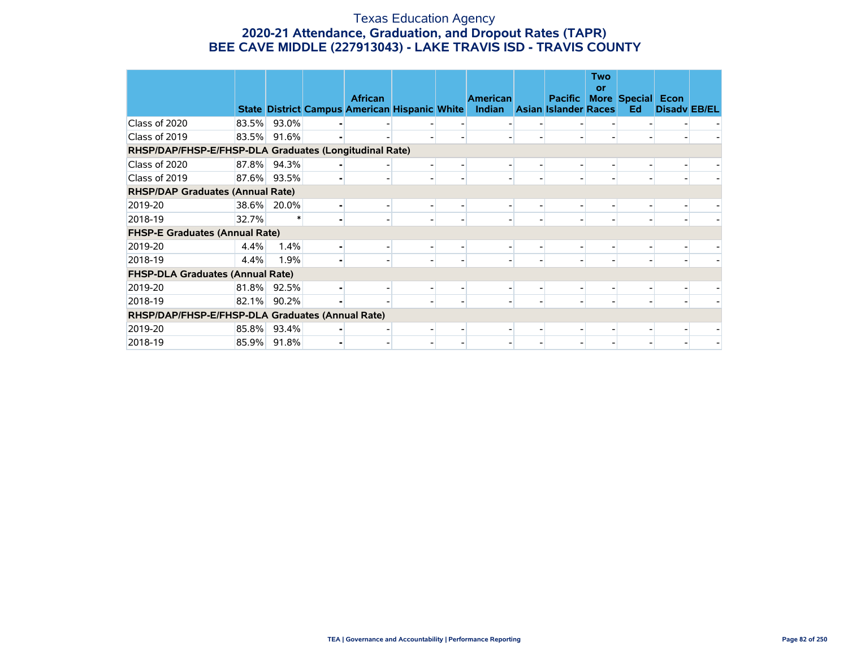#### Texas Education Agency **2020-21 Attendance, Graduation, and Dropout Rates (TAPR) BEE CAVE MIDDLE (227913043) - LAKE TRAVIS ISD - TRAVIS COUNTY**

|                                                        |       |             |                                                                        |                          |                           |                                               | <b>Two</b><br>or |                                |                     |  |
|--------------------------------------------------------|-------|-------------|------------------------------------------------------------------------|--------------------------|---------------------------|-----------------------------------------------|------------------|--------------------------------|---------------------|--|
|                                                        |       |             | <b>African</b><br><b>State District Campus American Hispanic White</b> |                          | <b>American</b><br>Indian | <b>Pacific</b><br><b>Asian Islander Races</b> |                  | <b>More Special Econ</b><br>Ed | <b>Disady EB/EL</b> |  |
| Class of 2020                                          | 83.5% | 93.0%       |                                                                        |                          |                           |                                               |                  |                                |                     |  |
| Class of 2019                                          | 83.5% | 91.6%       |                                                                        |                          |                           |                                               |                  |                                |                     |  |
| RHSP/DAP/FHSP-E/FHSP-DLA Graduates (Longitudinal Rate) |       |             |                                                                        |                          |                           |                                               |                  |                                |                     |  |
| Class of 2020                                          | 87.8% | 94.3%       |                                                                        |                          |                           |                                               |                  |                                |                     |  |
| Class of 2019                                          | 87.6% | 93.5%       |                                                                        | $\overline{\phantom{0}}$ |                           |                                               |                  |                                |                     |  |
| <b>RHSP/DAP Graduates (Annual Rate)</b>                |       |             |                                                                        |                          |                           |                                               |                  |                                |                     |  |
| 2019-20                                                | 38.6% | 20.0%       |                                                                        |                          |                           |                                               |                  |                                |                     |  |
| 2018-19                                                | 32.7% |             |                                                                        | $\overline{\phantom{a}}$ |                           |                                               |                  |                                |                     |  |
| <b>FHSP-E Graduates (Annual Rate)</b>                  |       |             |                                                                        |                          |                           |                                               |                  |                                |                     |  |
| 2019-20                                                | 4.4%  | 1.4%        |                                                                        |                          |                           |                                               |                  |                                |                     |  |
| 2018-19                                                | 4.4%  | 1.9%        |                                                                        |                          |                           |                                               |                  |                                |                     |  |
| <b>FHSP-DLA Graduates (Annual Rate)</b>                |       |             |                                                                        |                          |                           |                                               |                  |                                |                     |  |
| 2019-20                                                | 81.8% | 92.5%       |                                                                        |                          |                           |                                               |                  |                                |                     |  |
| 2018-19                                                | 82.1% | 90.2%       |                                                                        |                          |                           |                                               |                  |                                |                     |  |
| RHSP/DAP/FHSP-E/FHSP-DLA Graduates (Annual Rate)       |       |             |                                                                        |                          |                           |                                               |                  |                                |                     |  |
| 2019-20                                                | 85.8% | 93.4%       |                                                                        |                          |                           |                                               |                  |                                |                     |  |
| 2018-19                                                |       | 85.9% 91.8% |                                                                        |                          |                           |                                               |                  |                                |                     |  |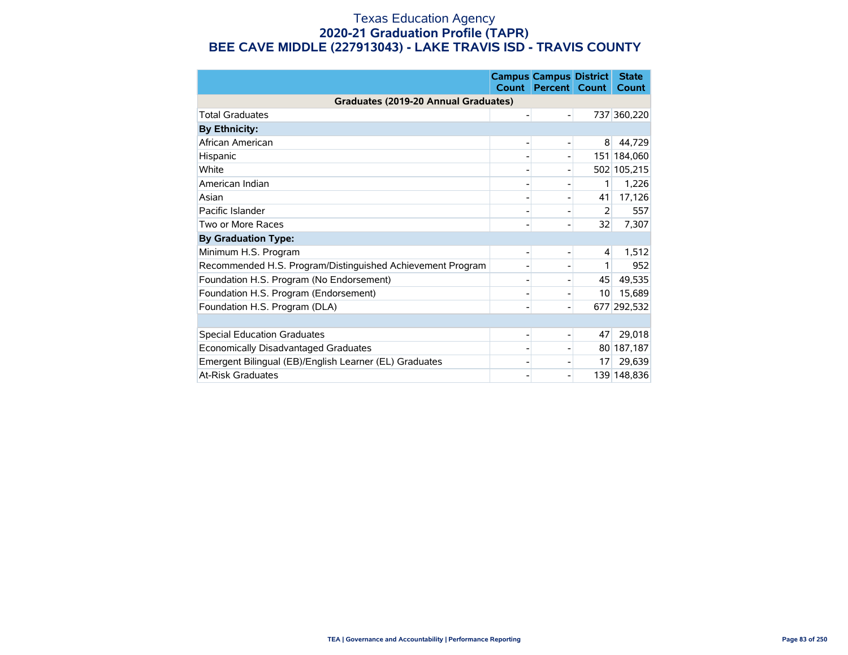#### Texas Education Agency **2020-21 Graduation Profile (TAPR) BEE CAVE MIDDLE (227913043) - LAKE TRAVIS ISD - TRAVIS COUNTY**

|                                                            | Count | <b>Campus Campus District</b><br><b>Percent</b> | Count          | <b>State</b><br>Count |
|------------------------------------------------------------|-------|-------------------------------------------------|----------------|-----------------------|
| Graduates (2019-20 Annual Graduates)                       |       |                                                 |                |                       |
| <b>Total Graduates</b>                                     |       |                                                 |                | 737 360,220           |
| <b>By Ethnicity:</b>                                       |       |                                                 |                |                       |
| African American                                           |       |                                                 | 8              | 44,729                |
| Hispanic                                                   |       |                                                 | 151            | 184,060               |
| White                                                      |       |                                                 |                | 502 105,215           |
| American Indian                                            |       |                                                 | 1              | 1,226                 |
| Asian                                                      |       |                                                 | 41             | 17,126                |
| Pacific Islander                                           |       |                                                 | $\overline{2}$ | 557                   |
| Two or More Races                                          |       |                                                 | 32             | 7,307                 |
| <b>By Graduation Type:</b>                                 |       |                                                 |                |                       |
| Minimum H.S. Program                                       |       |                                                 | 4              | 1,512                 |
| Recommended H.S. Program/Distinguished Achievement Program |       |                                                 | 1              | 952                   |
| Foundation H.S. Program (No Endorsement)                   |       |                                                 | 45             | 49,535                |
| Foundation H.S. Program (Endorsement)                      |       |                                                 | 10             | 15,689                |
| Foundation H.S. Program (DLA)                              |       |                                                 |                | 677 292,532           |
|                                                            |       |                                                 |                |                       |
| <b>Special Education Graduates</b>                         |       |                                                 | 47             | 29,018                |
| Economically Disadvantaged Graduates                       |       |                                                 | 80             | 187,187               |
| Emergent Bilingual (EB)/English Learner (EL) Graduates     |       |                                                 | 17             | 29,639                |
| <b>At-Risk Graduates</b>                                   |       |                                                 |                | 139 148,836           |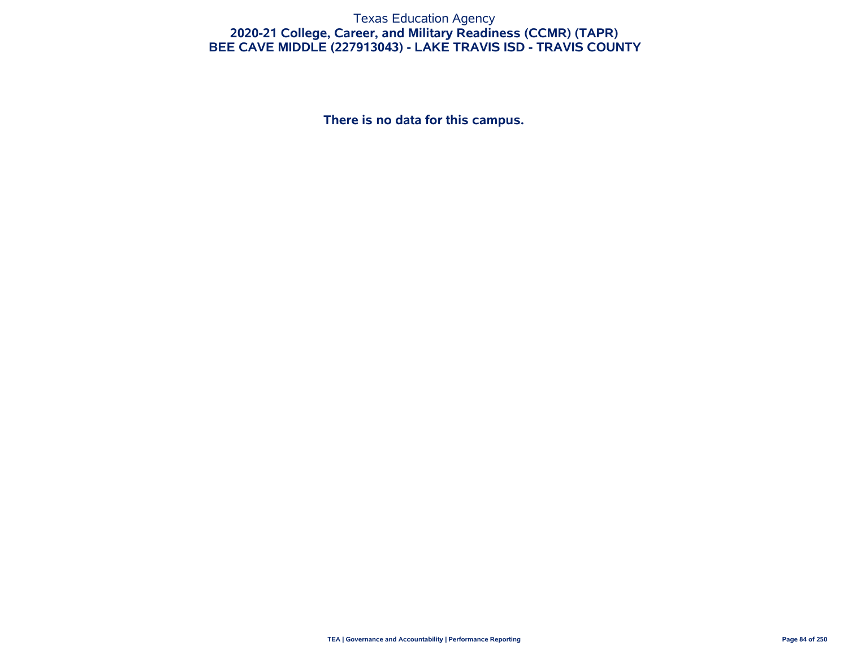## Texas Education Agency **2020-21 College, Career, and Military Readiness (CCMR) (TAPR) BEE CAVE MIDDLE (227913043) - LAKE TRAVIS ISD - TRAVIS COUNTY**

**There is no data for this campus.**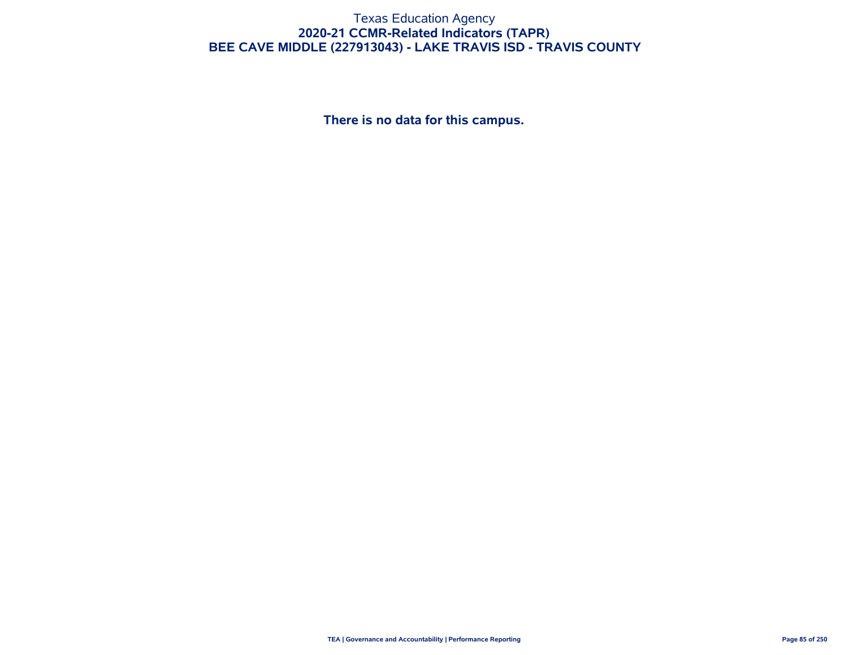## Texas Education Agency **2020-21 CCMR-Related Indicators (TAPR) BEE CAVE MIDDLE (227913043) - LAKE TRAVIS ISD - TRAVIS COUNTY**

**There is no data for this campus.**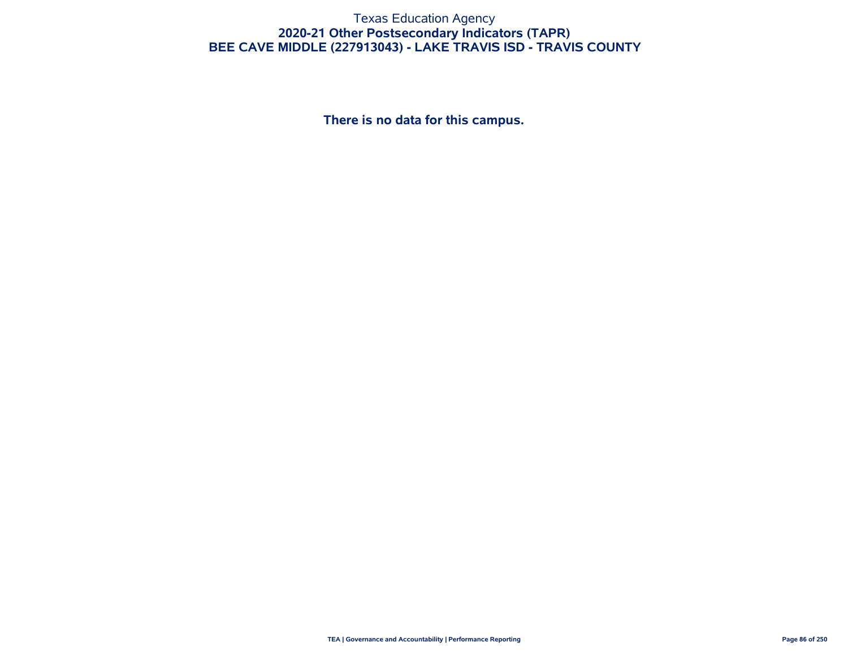#### Texas Education Agency **2020-21 Other Postsecondary Indicators (TAPR) BEE CAVE MIDDLE (227913043) - LAKE TRAVIS ISD - TRAVIS COUNTY**

**There is no data for this campus.**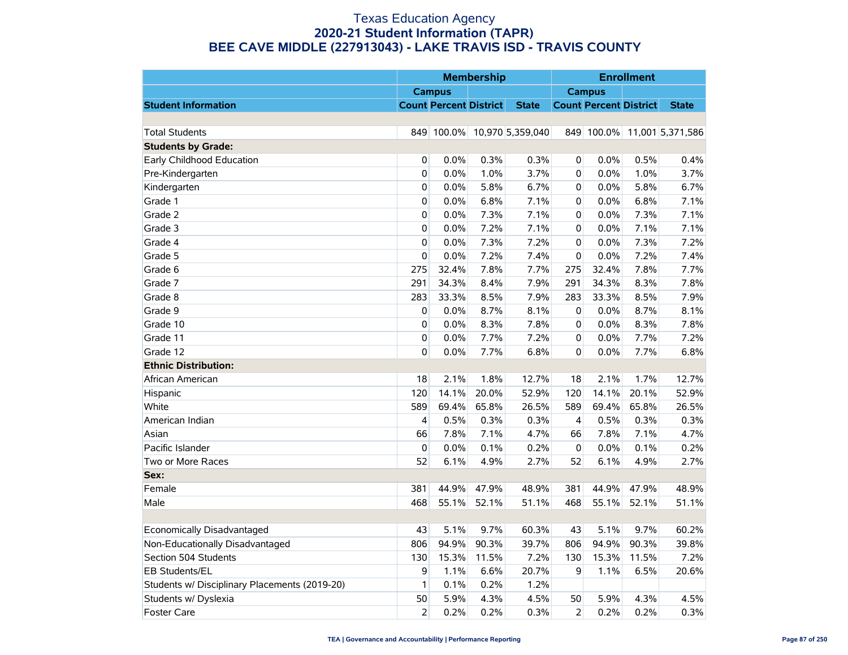#### Texas Education Agency **2020-21 Student Information (TAPR) BEE CAVE MIDDLE (227913043) - LAKE TRAVIS ISD - TRAVIS COUNTY**

|                                               |                |                               | <b>Membership</b> |                             |                |                               | <b>Enrollment</b> |                             |
|-----------------------------------------------|----------------|-------------------------------|-------------------|-----------------------------|----------------|-------------------------------|-------------------|-----------------------------|
|                                               |                | <b>Campus</b>                 |                   |                             |                | <b>Campus</b>                 |                   |                             |
| <b>Student Information</b>                    |                | <b>Count Percent District</b> |                   | <b>State</b>                |                | <b>Count Percent District</b> |                   | <b>State</b>                |
|                                               |                |                               |                   |                             |                |                               |                   |                             |
| <b>Total Students</b>                         |                |                               |                   | 849 100.0% 10,970 5,359,040 |                |                               |                   | 849 100.0% 11,001 5,371,586 |
| <b>Students by Grade:</b>                     |                |                               |                   |                             |                |                               |                   |                             |
| Early Childhood Education                     | 0              | 0.0%                          | 0.3%              | 0.3%                        | 0              | 0.0%                          | 0.5%              | 0.4%                        |
| Pre-Kindergarten                              | 0              | 0.0%                          | 1.0%              | 3.7%                        | 0              | 0.0%                          | 1.0%              | 3.7%                        |
| Kindergarten                                  | 0              | 0.0%                          | 5.8%              | 6.7%                        | $\mathbf 0$    | 0.0%                          | 5.8%              | 6.7%                        |
| Grade 1                                       | 0              | 0.0%                          | 6.8%              | 7.1%                        | 0              | 0.0%                          | 6.8%              | 7.1%                        |
| Grade 2                                       | 0              | 0.0%                          | 7.3%              | 7.1%                        | $\mathbf 0$    | 0.0%                          | 7.3%              | 7.1%                        |
| Grade 3                                       | $\mathbf 0$    | 0.0%                          | 7.2%              | 7.1%                        | 0              | 0.0%                          | 7.1%              | 7.1%                        |
| Grade 4                                       | 0              | 0.0%                          | 7.3%              | 7.2%                        | 0              | 0.0%                          | 7.3%              | 7.2%                        |
| Grade 5                                       | 0              | 0.0%                          | 7.2%              | 7.4%                        | 0              | 0.0%                          | 7.2%              | 7.4%                        |
| Grade 6                                       | 275            | 32.4%                         | 7.8%              | 7.7%                        | 275            | 32.4%                         | 7.8%              | 7.7%                        |
| Grade 7                                       | 291            | 34.3%                         | 8.4%              | 7.9%                        | 291            | 34.3%                         | 8.3%              | 7.8%                        |
| Grade 8                                       | 283            | 33.3%                         | 8.5%              | 7.9%                        | 283            | 33.3%                         | 8.5%              | 7.9%                        |
| Grade 9                                       | 0              | 0.0%                          | 8.7%              | 8.1%                        | $\overline{0}$ | 0.0%                          | 8.7%              | 8.1%                        |
| Grade 10                                      | $\mathbf{0}$   | 0.0%                          | 8.3%              | 7.8%                        | 0              | 0.0%                          | 8.3%              | 7.8%                        |
| Grade 11                                      | 0              | 0.0%                          | 7.7%              | 7.2%                        | $\pmb{0}$      | 0.0%                          | 7.7%              | 7.2%                        |
| Grade 12                                      | 0              | 0.0%                          | 7.7%              | 6.8%                        | $\overline{0}$ | 0.0%                          | 7.7%              | 6.8%                        |
| <b>Ethnic Distribution:</b>                   |                |                               |                   |                             |                |                               |                   |                             |
| African American                              | 18             | 2.1%                          | 1.8%              | 12.7%                       | 18             | 2.1%                          | 1.7%              | 12.7%                       |
| Hispanic                                      | 120            | 14.1%                         | 20.0%             | 52.9%                       | 120            | 14.1%                         | 20.1%             | 52.9%                       |
| White                                         | 589            | 69.4%                         | 65.8%             | 26.5%                       | 589            | 69.4%                         | 65.8%             | 26.5%                       |
| American Indian                               | 4              | 0.5%                          | 0.3%              | 0.3%                        | $\overline{4}$ | 0.5%                          | 0.3%              | 0.3%                        |
| Asian                                         | 66             | 7.8%                          | 7.1%              | 4.7%                        | 66             | 7.8%                          | 7.1%              | 4.7%                        |
| Pacific Islander                              | 0              | 0.0%                          | 0.1%              | 0.2%                        | 0              | 0.0%                          | 0.1%              | 0.2%                        |
| Two or More Races                             | 52             | 6.1%                          | 4.9%              | 2.7%                        | 52             | 6.1%                          | 4.9%              | 2.7%                        |
| Sex:                                          |                |                               |                   |                             |                |                               |                   |                             |
| Female                                        | 381            | 44.9%                         | 47.9%             | 48.9%                       | 381            | 44.9%                         | 47.9%             | 48.9%                       |
| Male                                          | 468            | 55.1%                         | 52.1%             | 51.1%                       | 468            | 55.1%                         | 52.1%             | 51.1%                       |
|                                               |                |                               |                   |                             |                |                               |                   |                             |
| Economically Disadvantaged                    | 43             | 5.1%                          | 9.7%              | 60.3%                       | 43             | 5.1%                          | 9.7%              | 60.2%                       |
| Non-Educationally Disadvantaged               | 806            | 94.9%                         | 90.3%             | 39.7%                       | 806            | 94.9%                         | 90.3%             | 39.8%                       |
| Section 504 Students                          | 130            | 15.3%                         | 11.5%             | 7.2%                        | 130            | 15.3%                         | 11.5%             | 7.2%                        |
| EB Students/EL                                | 9              | 1.1%                          | 6.6%              | 20.7%                       | 9              | 1.1%                          | 6.5%              | 20.6%                       |
| Students w/ Disciplinary Placements (2019-20) | 1              | 0.1%                          | 0.2%              | 1.2%                        |                |                               |                   |                             |
| Students w/ Dyslexia                          | 50             | 5.9%                          | 4.3%              | 4.5%                        | 50             | 5.9%                          | 4.3%              | 4.5%                        |
| <b>Foster Care</b>                            | $\overline{2}$ | 0.2%                          | 0.2%              | 0.3%                        | $\overline{2}$ | 0.2%                          | 0.2%              | 0.3%                        |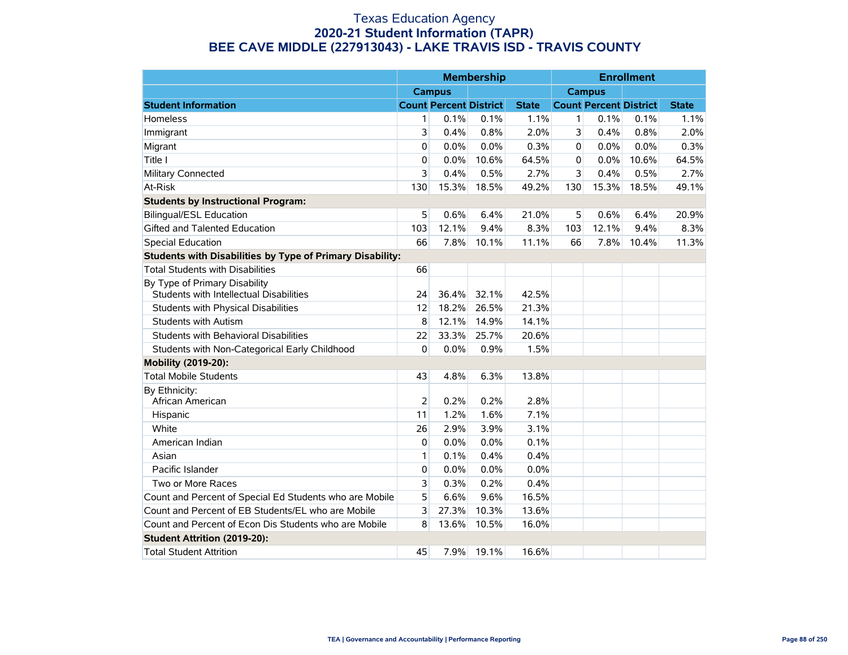#### Texas Education Agency **2020-21 Student Information (TAPR) BEE CAVE MIDDLE (227913043) - LAKE TRAVIS ISD - TRAVIS COUNTY**

|                                                                          |                |                               | <b>Membership</b> |              |     |               | <b>Enrollment</b>             |              |
|--------------------------------------------------------------------------|----------------|-------------------------------|-------------------|--------------|-----|---------------|-------------------------------|--------------|
|                                                                          |                | <b>Campus</b>                 |                   |              |     | <b>Campus</b> |                               |              |
| <b>Student Information</b>                                               |                | <b>Count Percent District</b> |                   | <b>State</b> |     |               | <b>Count Percent District</b> | <b>State</b> |
| Homeless                                                                 | 1              | 0.1%                          | 0.1%              | 1.1%         | 1   | 0.1%          | 0.1%                          | 1.1%         |
| Immigrant                                                                | 3              | 0.4%                          | 0.8%              | 2.0%         | 3   | 0.4%          | 0.8%                          | 2.0%         |
| Migrant                                                                  | 0              | 0.0%                          | 0.0%              | 0.3%         | 0   | 0.0%          | 0.0%                          | 0.3%         |
| Title I                                                                  | 0              | 0.0%                          | 10.6%             | 64.5%        | 0   | 0.0%          | 10.6%                         | 64.5%        |
| Military Connected                                                       | 3              | 0.4%                          | 0.5%              | 2.7%         | 3   | 0.4%          | 0.5%                          | 2.7%         |
| At-Risk                                                                  | 130            | 15.3%                         | 18.5%             | 49.2%        | 130 | 15.3%         | 18.5%                         | 49.1%        |
| <b>Students by Instructional Program:</b>                                |                |                               |                   |              |     |               |                               |              |
| <b>Bilingual/ESL Education</b>                                           | 5              | 0.6%                          | 6.4%              | 21.0%        | 5   | 0.6%          | 6.4%                          | 20.9%        |
| Gifted and Talented Education                                            | 103            | 12.1%                         | 9.4%              | 8.3%         | 103 | 12.1%         | 9.4%                          | 8.3%         |
| <b>Special Education</b>                                                 | 66             | 7.8%                          | 10.1%             | 11.1%        | 66  | 7.8%          | 10.4%                         | 11.3%        |
| Students with Disabilities by Type of Primary Disability:                |                |                               |                   |              |     |               |                               |              |
| <b>Total Students with Disabilities</b>                                  | 66             |                               |                   |              |     |               |                               |              |
| By Type of Primary Disability<br>Students with Intellectual Disabilities | 24             | 36.4%                         | 32.1%             | 42.5%        |     |               |                               |              |
| Students with Physical Disabilities                                      | 12             | 18.2%                         | 26.5%             | 21.3%        |     |               |                               |              |
| <b>Students with Autism</b>                                              | 8              | 12.1%                         | 14.9%             | 14.1%        |     |               |                               |              |
| Students with Behavioral Disabilities                                    | 22             | 33.3%                         | 25.7%             | 20.6%        |     |               |                               |              |
| Students with Non-Categorical Early Childhood                            | 0              | 0.0%                          | 0.9%              | 1.5%         |     |               |                               |              |
| Mobility (2019-20):                                                      |                |                               |                   |              |     |               |                               |              |
| <b>Total Mobile Students</b>                                             | 43             | 4.8%                          | 6.3%              | 13.8%        |     |               |                               |              |
| By Ethnicity:<br>African American                                        | $\overline{2}$ | 0.2%                          | 0.2%              | 2.8%         |     |               |                               |              |
| Hispanic                                                                 | 11             | 1.2%                          | 1.6%              | 7.1%         |     |               |                               |              |
| White                                                                    | 26             | 2.9%                          | 3.9%              | 3.1%         |     |               |                               |              |
| American Indian                                                          | 0              | 0.0%                          | 0.0%              | 0.1%         |     |               |                               |              |
| Asian                                                                    | 1              | 0.1%                          | 0.4%              | 0.4%         |     |               |                               |              |
| Pacific Islander                                                         | 0              | 0.0%                          | 0.0%              | 0.0%         |     |               |                               |              |
| Two or More Races                                                        | 3              | 0.3%                          | 0.2%              | 0.4%         |     |               |                               |              |
| Count and Percent of Special Ed Students who are Mobile                  | 5              | 6.6%                          | 9.6%              | 16.5%        |     |               |                               |              |
| Count and Percent of EB Students/EL who are Mobile                       | 3              | 27.3%                         | 10.3%             | 13.6%        |     |               |                               |              |
| Count and Percent of Econ Dis Students who are Mobile                    | 8              | 13.6%                         | 10.5%             | 16.0%        |     |               |                               |              |
| <b>Student Attrition (2019-20):</b>                                      |                |                               |                   |              |     |               |                               |              |
| <b>Total Student Attrition</b>                                           | 45             | 7.9%                          | 19.1%             | 16.6%        |     |               |                               |              |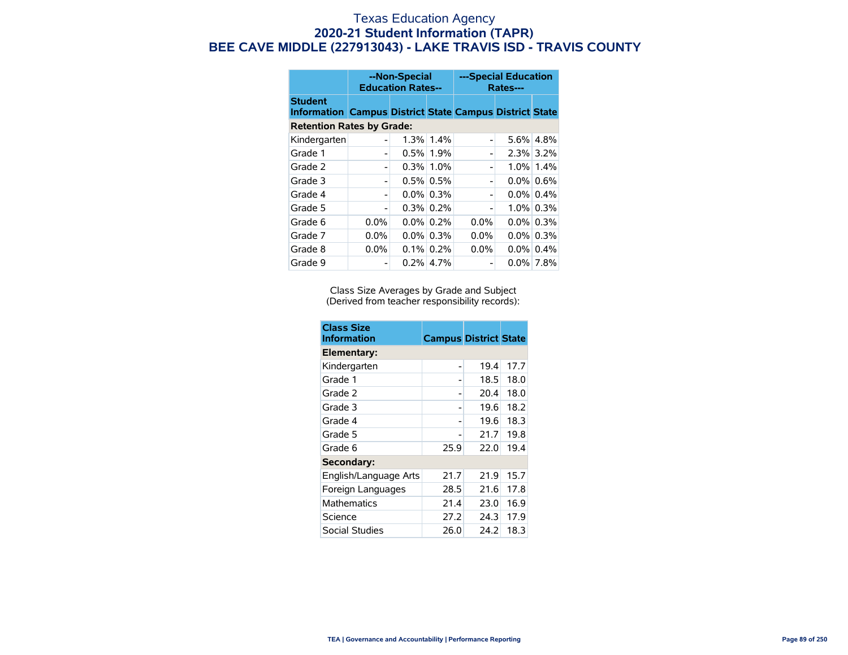#### Texas Education Agency **2020-21 Student Information (TAPR) BEE CAVE MIDDLE (227913043) - LAKE TRAVIS ISD - TRAVIS COUNTY**

|                                                                                  | --Non-Special<br><b>Education Rates--</b> |         |              | ---Special Education<br>Rates--- |  |              |  |
|----------------------------------------------------------------------------------|-------------------------------------------|---------|--------------|----------------------------------|--|--------------|--|
| <b>Student</b><br><b>Information Campus District State Campus District State</b> |                                           |         |              |                                  |  |              |  |
|                                                                                  | <b>Retention Rates by Grade:</b>          |         |              |                                  |  |              |  |
| Kindergarten                                                                     |                                           |         | $1.3\%$ 1.4% | -                                |  | 5.6% 4.8%    |  |
| Grade 1                                                                          |                                           |         | $0.5\%$ 1.9% | $\overline{\phantom{0}}$         |  | $2.3\%$ 3.2% |  |
| Grade 2                                                                          | $\overline{\phantom{0}}$                  | $0.3\%$ | 1.0%         | -                                |  | 1.0% 1.4%    |  |
| Grade 3                                                                          |                                           |         | $0.5\%$ 0.5% | -                                |  | $0.0\%$ 0.6% |  |
| Grade 4                                                                          | ۰                                         |         | $0.0\%$ 0.3% | -                                |  | $0.0\%$ 0.4% |  |
| Grade 5                                                                          |                                           |         | $0.3\%$ 0.2% |                                  |  | $1.0\%$ 0.3% |  |
| Grade 6                                                                          | 0.0%                                      |         | $0.0\%$ 0.2% | $0.0\%$                          |  | $0.0\%$ 0.3% |  |
| Grade 7                                                                          | $0.0\%$                                   |         | $0.0\%$ 0.3% | 0.0%                             |  | $0.0\%$ 0.3% |  |
| Grade 8                                                                          | $0.0\%$                                   |         | $0.1\%$ 0.2% | $0.0\%$                          |  | $0.0\%$ 0.4% |  |
| Grade 9                                                                          |                                           |         | $0.2\%$ 4.7% |                                  |  | $0.0\%$ 7.8% |  |

Class Size Averages by Grade and Subject (Derived from teacher responsibility records):

| <b>Class Size</b><br><b>Information</b> | <b>Campus District State</b> |      |      |  |  |  |  |
|-----------------------------------------|------------------------------|------|------|--|--|--|--|
| Elementary:                             |                              |      |      |  |  |  |  |
| Kindergarten                            |                              | 19.4 | 17.7 |  |  |  |  |
| Grade 1                                 |                              | 18.5 | 18.0 |  |  |  |  |
| Grade 2                                 |                              | 20.4 | 18.0 |  |  |  |  |
| Grade 3                                 |                              | 19.6 | 18.2 |  |  |  |  |
| Grade 4                                 |                              | 19.6 | 18.3 |  |  |  |  |
| Grade 5                                 |                              | 21.7 | 19.8 |  |  |  |  |
| Grade 6                                 | 25.9                         | 22.0 | 19.4 |  |  |  |  |
| Secondary:                              |                              |      |      |  |  |  |  |
| English/Language Arts                   | 21.7                         | 21.9 | 15.7 |  |  |  |  |
| Foreign Languages                       | 28.5                         | 21.6 | 17.8 |  |  |  |  |
| <b>Mathematics</b>                      | 21.4                         | 23.0 | 16.9 |  |  |  |  |
| Science                                 | 27.2                         | 24.3 | 17.9 |  |  |  |  |
| Social Studies                          | 26.0                         | 24.2 | 18.3 |  |  |  |  |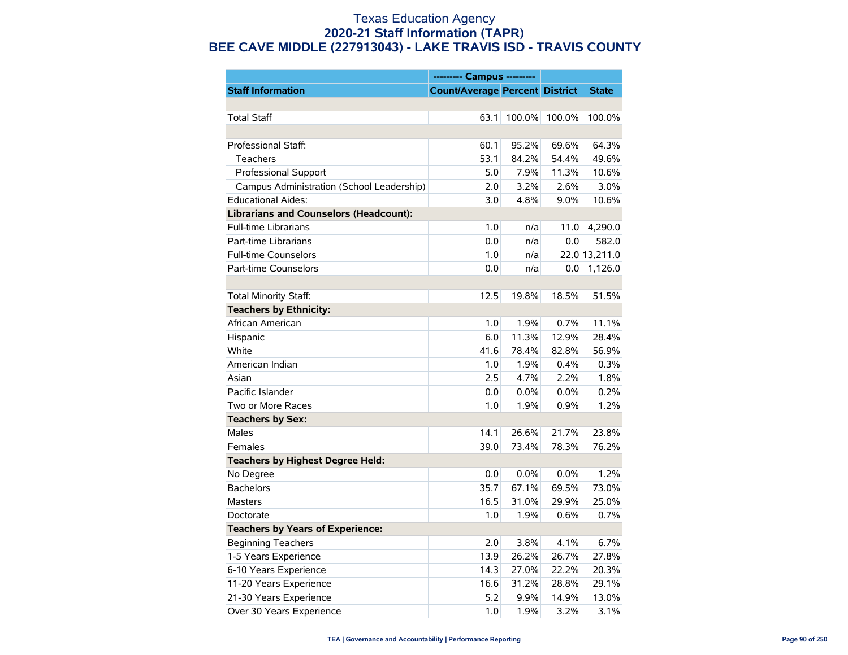# Texas Education Agency **2020-21 Staff Information (TAPR) BEE CAVE MIDDLE (227913043) - LAKE TRAVIS ISD - TRAVIS COUNTY**

|                                               | --------- Campus ---------            |        |        |               |  |  |
|-----------------------------------------------|---------------------------------------|--------|--------|---------------|--|--|
| <b>Staff Information</b>                      | <b>Count/Average Percent District</b> |        |        | <b>State</b>  |  |  |
|                                               |                                       |        |        |               |  |  |
| <b>Total Staff</b>                            | 63.1                                  | 100.0% | 100.0% | 100.0%        |  |  |
|                                               |                                       |        |        |               |  |  |
| Professional Staff:                           | 60.1                                  | 95.2%  | 69.6%  | 64.3%         |  |  |
| Teachers                                      | 53.1                                  | 84.2%  | 54.4%  | 49.6%         |  |  |
| Professional Support                          | 5.0                                   | 7.9%   | 11.3%  | 10.6%         |  |  |
| Campus Administration (School Leadership)     | 2.0                                   | 3.2%   | 2.6%   | 3.0%          |  |  |
| <b>Educational Aides:</b>                     | 3.0                                   | 4.8%   | 9.0%   | 10.6%         |  |  |
| <b>Librarians and Counselors (Headcount):</b> |                                       |        |        |               |  |  |
| <b>Full-time Librarians</b>                   | 1.0                                   | n/a    | 11.0   | 4,290.0       |  |  |
| Part-time Librarians                          | 0.0                                   | n/a    | 0.0    | 582.0         |  |  |
| <b>Full-time Counselors</b>                   | 1.0                                   | n/a    |        | 22.0 13,211.0 |  |  |
| Part-time Counselors                          | 0.0                                   | n/a    | 0.0    | 1,126.0       |  |  |
|                                               |                                       |        |        |               |  |  |
| Total Minority Staff:                         | 12.5                                  | 19.8%  | 18.5%  | 51.5%         |  |  |
| <b>Teachers by Ethnicity:</b>                 |                                       |        |        |               |  |  |
| African American                              | 1.0                                   | 1.9%   | 0.7%   | 11.1%         |  |  |
| Hispanic                                      | 6.0                                   | 11.3%  | 12.9%  | 28.4%         |  |  |
| White                                         | 41.6                                  | 78.4%  | 82.8%  | 56.9%         |  |  |
| American Indian                               | 1.0                                   | 1.9%   | 0.4%   | 0.3%          |  |  |
| Asian                                         | 2.5                                   | 4.7%   | 2.2%   | 1.8%          |  |  |
| Pacific Islander                              | 0.0                                   | 0.0%   | 0.0%   | 0.2%          |  |  |
| Two or More Races                             | 1.0                                   | 1.9%   | 0.9%   | 1.2%          |  |  |
| <b>Teachers by Sex:</b>                       |                                       |        |        |               |  |  |
| <b>Males</b>                                  | 14.1                                  | 26.6%  | 21.7%  | 23.8%         |  |  |
| Females                                       | 39.0                                  | 73.4%  | 78.3%  | 76.2%         |  |  |
| <b>Teachers by Highest Degree Held:</b>       |                                       |        |        |               |  |  |
| No Degree                                     | 0.0                                   | 0.0%   | 0.0%   | 1.2%          |  |  |
| <b>Bachelors</b>                              | 35.7                                  | 67.1%  | 69.5%  | 73.0%         |  |  |
| <b>Masters</b>                                | 16.5                                  | 31.0%  | 29.9%  | 25.0%         |  |  |
| Doctorate                                     | 1.0                                   | 1.9%   | 0.6%   | 0.7%          |  |  |
| <b>Teachers by Years of Experience:</b>       |                                       |        |        |               |  |  |
| <b>Beginning Teachers</b>                     | 2.0                                   | 3.8%   | 4.1%   | 6.7%          |  |  |
| 1-5 Years Experience                          | 13.9                                  | 26.2%  | 26.7%  | 27.8%         |  |  |
| 6-10 Years Experience                         | 14.3                                  | 27.0%  | 22.2%  | 20.3%         |  |  |
| 11-20 Years Experience                        | 16.6                                  | 31.2%  | 28.8%  | 29.1%         |  |  |
| 21-30 Years Experience                        | 5.2                                   | 9.9%   | 14.9%  | 13.0%         |  |  |
| Over 30 Years Experience                      | 1.0                                   | 1.9%   | 3.2%   | 3.1%          |  |  |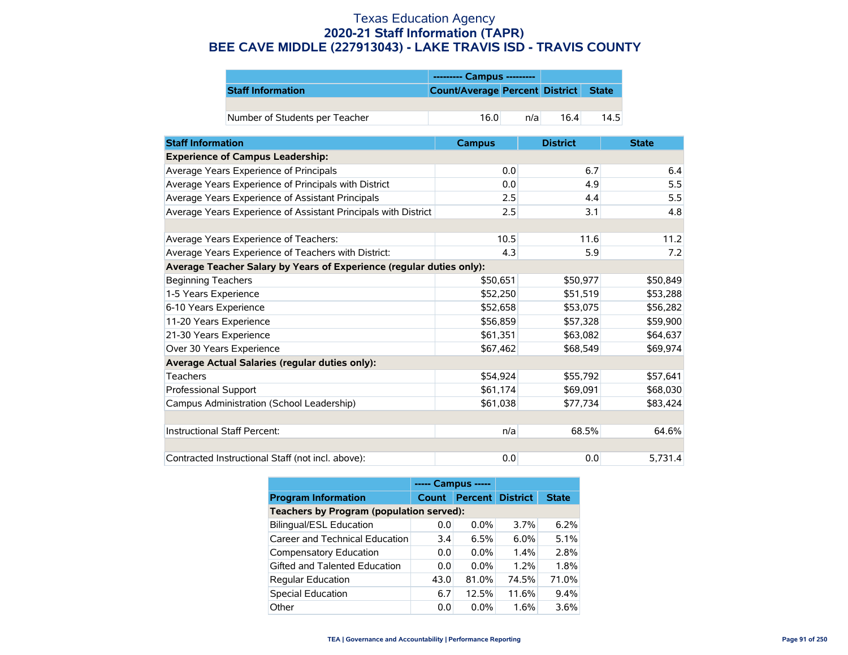#### Texas Education Agency **2020-21 Staff Information (TAPR) BEE CAVE MIDDLE (227913043) - LAKE TRAVIS ISD - TRAVIS COUNTY**

|                                | --------- Campus ---------           |            |      |  |  |
|--------------------------------|--------------------------------------|------------|------|--|--|
| <b>Staff Information</b>       | Count/Average Percent District State |            |      |  |  |
|                                |                                      |            |      |  |  |
| Number of Students per Teacher | 16.0                                 | n/a<br>164 | 14.5 |  |  |

| <b>Staff Information</b>                                             | <b>Campus</b> | <b>District</b> | <b>State</b> |  |  |  |  |
|----------------------------------------------------------------------|---------------|-----------------|--------------|--|--|--|--|
| <b>Experience of Campus Leadership:</b>                              |               |                 |              |  |  |  |  |
| Average Years Experience of Principals                               | 0.0           | 6.7             | 6.4          |  |  |  |  |
| Average Years Experience of Principals with District                 | 0.0           | 4.9             | 5.5          |  |  |  |  |
| Average Years Experience of Assistant Principals                     | 2.5           | 4.4             | 5.5          |  |  |  |  |
| Average Years Experience of Assistant Principals with District       | 2.5           | 3.1             | 4.8          |  |  |  |  |
|                                                                      |               |                 |              |  |  |  |  |
| Average Years Experience of Teachers:                                | 10.5          | 11.6            | 11.2         |  |  |  |  |
| Average Years Experience of Teachers with District:                  | 4.3           | 5.9             | 7.2          |  |  |  |  |
| Average Teacher Salary by Years of Experience (regular duties only): |               |                 |              |  |  |  |  |
| <b>Beginning Teachers</b>                                            | \$50,651      | \$50,977        | \$50,849     |  |  |  |  |
| 1-5 Years Experience                                                 | \$52,250      | \$51,519        | \$53,288     |  |  |  |  |
| 6-10 Years Experience                                                | \$52,658      | \$53,075        | \$56,282     |  |  |  |  |
| 11-20 Years Experience                                               | \$56,859      | \$57,328        | \$59,900     |  |  |  |  |
| 21-30 Years Experience                                               | \$61,351      | \$63,082        | \$64,637     |  |  |  |  |
| Over 30 Years Experience                                             | \$67,462      | \$68,549        | \$69,974     |  |  |  |  |
| Average Actual Salaries (regular duties only):                       |               |                 |              |  |  |  |  |
| <b>Teachers</b>                                                      | \$54,924      | \$55,792        | \$57,641     |  |  |  |  |
| Professional Support                                                 | \$61,174      | \$69,091        | \$68,030     |  |  |  |  |
| Campus Administration (School Leadership)                            | \$61,038      | \$77,734        | \$83,424     |  |  |  |  |
|                                                                      |               |                 |              |  |  |  |  |
| Instructional Staff Percent:                                         | n/a           | 68.5%           | 64.6%        |  |  |  |  |
|                                                                      |               |                 |              |  |  |  |  |
| Contracted Instructional Staff (not incl. above):                    | 0.0           | 0.0             | 5,731.4      |  |  |  |  |

|                                          | ----- Campus ----- |                         |         |              |  |
|------------------------------------------|--------------------|-------------------------|---------|--------------|--|
| <b>Program Information</b>               | <b>Count</b>       | <b>Percent District</b> |         | <b>State</b> |  |
| Teachers by Program (population served): |                    |                         |         |              |  |
| <b>Bilingual/ESL Education</b>           | 0.0                | $0.0\%$                 | 3.7%    | 6.2%         |  |
| Career and Technical Education           | 3.4                | 6.5%                    | 6.0%    | 5.1%         |  |
| Compensatory Education                   | 0.0                | $0.0\%$                 | $1.4\%$ | 2.8%         |  |
| Gifted and Talented Education            | 0.0                | $0.0\%$                 | 1.2%    | 1.8%         |  |
| <b>Regular Education</b>                 | 43.0               | 81.0%                   | 74.5%   | 71.0%        |  |
| <b>Special Education</b>                 | 6.7                | 12.5%                   | 11.6%   | 9.4%         |  |
| Other                                    | 0.0                | $0.0\%$                 | 1.6%    | 3.6%         |  |